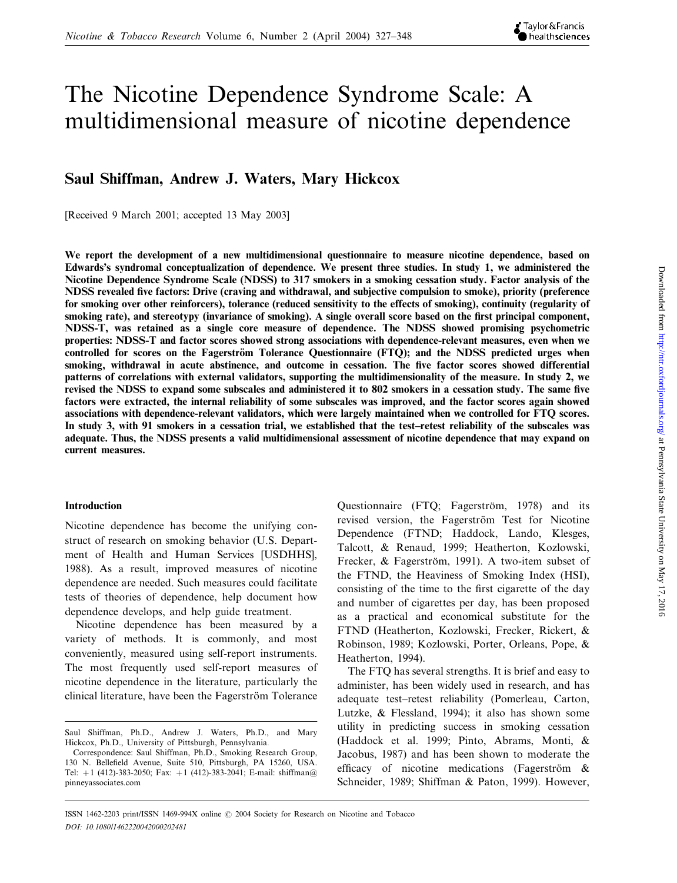# The Nicotine Dependence Syndrome Scale: A multidimensional measure of nicotine dependence

# Saul Shiffman, Andrew J. Waters, Mary Hickcox

[Received 9 March 2001; accepted 13 May 2003]

We report the development of a new multidimensional questionnaire to measure nicotine dependence, based on Edwards's syndromal conceptualization of dependence. We present three studies. In study 1, we administered the Nicotine Dependence Syndrome Scale (NDSS) to 317 smokers in a smoking cessation study. Factor analysis of the NDSS revealed five factors: Drive (craving and withdrawal, and subjective compulsion to smoke), priority (preference for smoking over other reinforcers), tolerance (reduced sensitivity to the effects of smoking), continuity (regularity of smoking rate), and stereotypy (invariance of smoking). A single overall score based on the first principal component, NDSS-T, was retained as a single core measure of dependence. The NDSS showed promising psychometric properties: NDSS-T and factor scores showed strong associations with dependence-relevant measures, even when we controlled for scores on the Fagerström Tolerance Ouestionnaire (FTO); and the NDSS predicted urges when smoking, withdrawal in acute abstinence, and outcome in cessation. The five factor scores showed differential patterns of correlations with external validators, supporting the multidimensionality of the measure. In study 2, we revised the NDSS to expand some subscales and administered it to 802 smokers in a cessation study. The same five factors were extracted, the internal reliability of some subscales was improved, and the factor scores again showed associations with dependence-relevant validators, which were largely maintained when we controlled for FTQ scores. In study 3, with 91 smokers in a cessation trial, we established that the test–retest reliability of the subscales was adequate. Thus, the NDSS presents a valid multidimensional assessment of nicotine dependence that may expand on current measures.

#### Introduction

Nicotine dependence has become the unifying construct of research on smoking behavior (U.S. Department of Health and Human Services [USDHHS], 1988). As a result, improved measures of nicotine dependence are needed. Such measures could facilitate tests of theories of dependence, help document how dependence develops, and help guide treatment.

Nicotine dependence has been measured by a variety of methods. It is commonly, and most conveniently, measured using self-report instruments. The most frequently used self-report measures of nicotine dependence in the literature, particularly the clinical literature, have been the Fagerström Tolerance

Questionnaire (FTQ; Fagerström, 1978) and its revised version, the Fagerström Test for Nicotine Dependence (FTND; Haddock, Lando, Klesges, Talcott, & Renaud, 1999; Heatherton, Kozlowski, Frecker, & Fagerström, 1991). A two-item subset of the FTND, the Heaviness of Smoking Index (HSI), consisting of the time to the first cigarette of the day and number of cigarettes per day, has been proposed as a practical and economical substitute for the FTND (Heatherton, Kozlowski, Frecker, Rickert, & Robinson, 1989; Kozlowski, Porter, Orleans, Pope, & Heatherton, 1994).

The FTQ has several strengths. It is brief and easy to administer, has been widely used in research, and has adequate test–retest reliability (Pomerleau, Carton, Lutzke, & Flessland, 1994); it also has shown some utility in predicting success in smoking cessation (Haddock et al. 1999; Pinto, Abrams, Monti, & Jacobus, 1987) and has been shown to moderate the efficacy of nicotine medications (Fagerström  $\&$ Schneider, 1989; Shiffman & Paton, 1999). However,

Saul Shiffman, Ph.D., Andrew J. Waters, Ph.D., and Mary Hickcox, Ph.D., University of Pittsburgh, Pennsylvania.

Correspondence: Saul Shiffman, Ph.D., Smoking Research Group, 130 N. Bellefield Avenue, Suite 510, Pittsburgh, PA 15260, USA. Tel:  $+1$  (412)-383-2050; Fax:  $+1$  (412)-383-2041; E-mail: shiffman@ pinneyassociates.com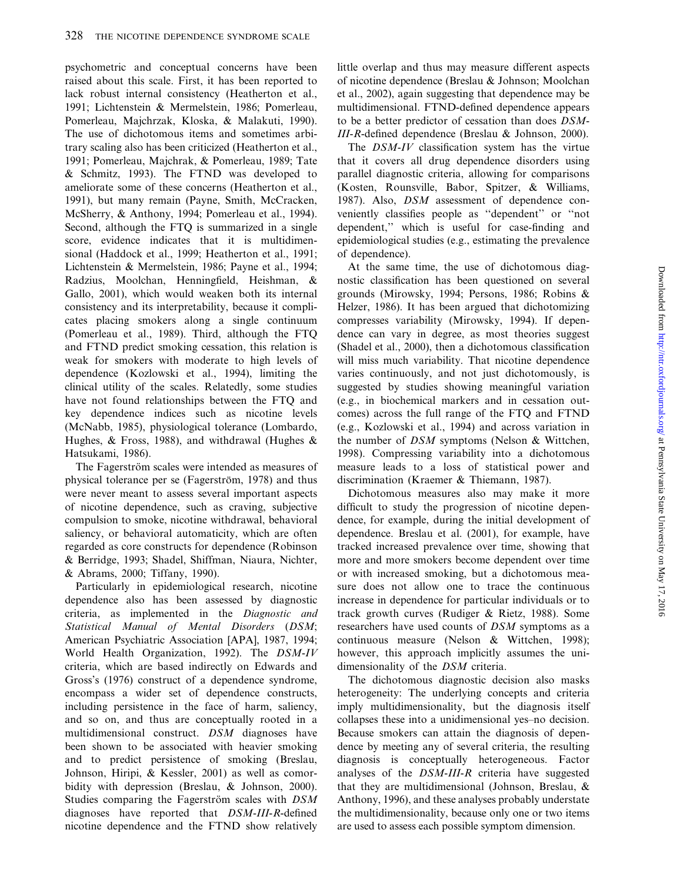psychometric and conceptual concerns have been raised about this scale. First, it has been reported to lack robust internal consistency (Heatherton et al., 1991; Lichtenstein & Mermelstein, 1986; Pomerleau, Pomerleau, Majchrzak, Kloska, & Malakuti, 1990). The use of dichotomous items and sometimes arbitrary scaling also has been criticized (Heatherton et al., 1991; Pomerleau, Majchrak, & Pomerleau, 1989; Tate & Schmitz, 1993). The FTND was developed to ameliorate some of these concerns (Heatherton et al., 1991), but many remain (Payne, Smith, McCracken, McSherry, & Anthony, 1994; Pomerleau et al., 1994). Second, although the FTQ is summarized in a single score, evidence indicates that it is multidimensional (Haddock et al., 1999; Heatherton et al., 1991; Lichtenstein & Mermelstein, 1986; Payne et al., 1994; Radzius, Moolchan, Henningfield, Heishman, & Gallo, 2001), which would weaken both its internal consistency and its interpretability, because it complicates placing smokers along a single continuum (Pomerleau et al., 1989). Third, although the FTQ and FTND predict smoking cessation, this relation is weak for smokers with moderate to high levels of dependence (Kozlowski et al., 1994), limiting the clinical utility of the scales. Relatedly, some studies have not found relationships between the FTQ and key dependence indices such as nicotine levels (McNabb, 1985), physiological tolerance (Lombardo, Hughes, & Fross, 1988), and withdrawal (Hughes & Hatsukami, 1986).

The Fagerström scales were intended as measures of physical tolerance per se (Fagerström, 1978) and thus were never meant to assess several important aspects of nicotine dependence, such as craving, subjective compulsion to smoke, nicotine withdrawal, behavioral saliency, or behavioral automaticity, which are often regarded as core constructs for dependence (Robinson & Berridge, 1993; Shadel, Shiffman, Niaura, Nichter, & Abrams, 2000; Tiffany, 1990).

Particularly in epidemiological research, nicotine dependence also has been assessed by diagnostic criteria, as implemented in the Diagnostic and Statistical Manual of Mental Disorders (DSM; American Psychiatric Association [APA], 1987, 1994; World Health Organization, 1992). The DSM-IV criteria, which are based indirectly on Edwards and Gross's (1976) construct of a dependence syndrome, encompass a wider set of dependence constructs, including persistence in the face of harm, saliency, and so on, and thus are conceptually rooted in a multidimensional construct. DSM diagnoses have been shown to be associated with heavier smoking and to predict persistence of smoking (Breslau, Johnson, Hiripi, & Kessler, 2001) as well as comorbidity with depression (Breslau, & Johnson, 2000). Studies comparing the Fagerström scales with DSM diagnoses have reported that DSM-III-R-defined nicotine dependence and the FTND show relatively

little overlap and thus may measure different aspects of nicotine dependence (Breslau & Johnson; Moolchan et al., 2002), again suggesting that dependence may be multidimensional. FTND-defined dependence appears to be a better predictor of cessation than does DSM-III-R-defined dependence (Breslau & Johnson, 2000).

The *DSM-IV* classification system has the virtue that it covers all drug dependence disorders using parallel diagnostic criteria, allowing for comparisons (Kosten, Rounsville, Babor, Spitzer, & Williams, 1987). Also, DSM assessment of dependence conveniently classifies people as ''dependent'' or ''not dependent,'' which is useful for case-finding and epidemiological studies (e.g., estimating the prevalence of dependence).

At the same time, the use of dichotomous diagnostic classification has been questioned on several grounds (Mirowsky, 1994; Persons, 1986; Robins & Helzer, 1986). It has been argued that dichotomizing compresses variability (Mirowsky, 1994). If dependence can vary in degree, as most theories suggest (Shadel et al., 2000), then a dichotomous classification will miss much variability. That nicotine dependence varies continuously, and not just dichotomously, is suggested by studies showing meaningful variation (e.g., in biochemical markers and in cessation outcomes) across the full range of the FTQ and FTND (e.g., Kozlowski et al., 1994) and across variation in the number of DSM symptoms (Nelson & Wittchen, 1998). Compressing variability into a dichotomous measure leads to a loss of statistical power and discrimination (Kraemer & Thiemann, 1987).

Dichotomous measures also may make it more difficult to study the progression of nicotine dependence, for example, during the initial development of dependence. Breslau et al. (2001), for example, have tracked increased prevalence over time, showing that more and more smokers become dependent over time or with increased smoking, but a dichotomous measure does not allow one to trace the continuous increase in dependence for particular individuals or to track growth curves (Rudiger & Rietz, 1988). Some researchers have used counts of DSM symptoms as a continuous measure (Nelson & Wittchen, 1998); however, this approach implicitly assumes the unidimensionality of the DSM criteria.

The dichotomous diagnostic decision also masks heterogeneity: The underlying concepts and criteria imply multidimensionality, but the diagnosis itself collapses these into a unidimensional yes–no decision. Because smokers can attain the diagnosis of dependence by meeting any of several criteria, the resulting diagnosis is conceptually heterogeneous. Factor analyses of the DSM-III-R criteria have suggested that they are multidimensional (Johnson, Breslau, & Anthony, 1996), and these analyses probably understate the multidimensionality, because only one or two items are used to assess each possible symptom dimension.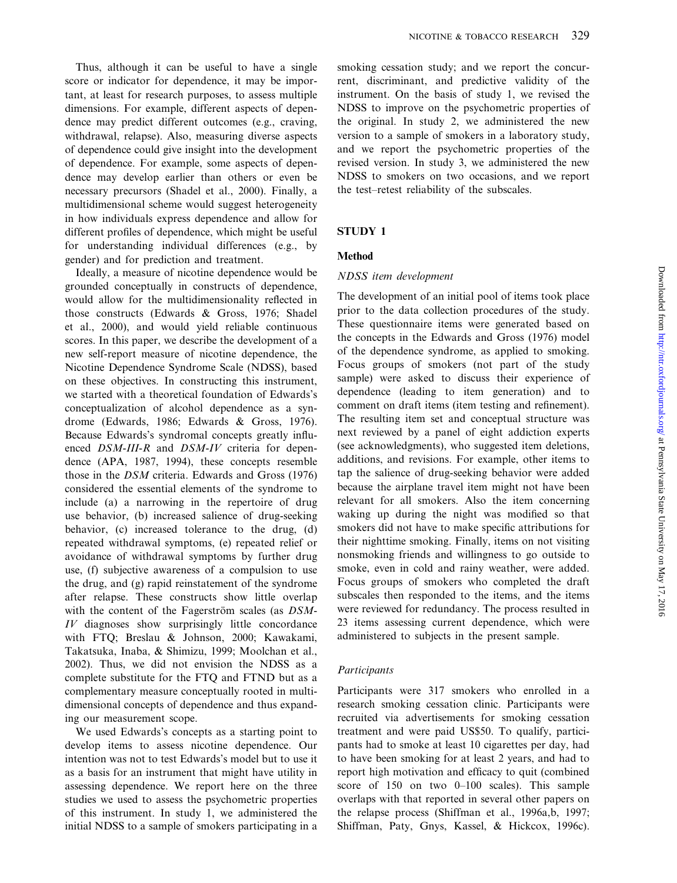Thus, although it can be useful to have a single score or indicator for dependence, it may be important, at least for research purposes, to assess multiple dimensions. For example, different aspects of dependence may predict different outcomes (e.g., craving, withdrawal, relapse). Also, measuring diverse aspects of dependence could give insight into the development of dependence. For example, some aspects of dependence may develop earlier than others or even be necessary precursors (Shadel et al., 2000). Finally, a multidimensional scheme would suggest heterogeneity in how individuals express dependence and allow for different profiles of dependence, which might be useful for understanding individual differences (e.g., by gender) and for prediction and treatment.

Ideally, a measure of nicotine dependence would be grounded conceptually in constructs of dependence, would allow for the multidimensionality reflected in those constructs (Edwards & Gross, 1976; Shadel et al., 2000), and would yield reliable continuous scores. In this paper, we describe the development of a new self-report measure of nicotine dependence, the Nicotine Dependence Syndrome Scale (NDSS), based on these objectives. In constructing this instrument, we started with a theoretical foundation of Edwards's conceptualization of alcohol dependence as a syndrome (Edwards, 1986; Edwards & Gross, 1976). Because Edwards's syndromal concepts greatly influenced *DSM-III-R* and *DSM-IV* criteria for dependence (APA, 1987, 1994), these concepts resemble those in the DSM criteria. Edwards and Gross (1976) considered the essential elements of the syndrome to include (a) a narrowing in the repertoire of drug use behavior, (b) increased salience of drug-seeking behavior, (c) increased tolerance to the drug, (d) repeated withdrawal symptoms, (e) repeated relief or avoidance of withdrawal symptoms by further drug use, (f) subjective awareness of a compulsion to use the drug, and (g) rapid reinstatement of the syndrome after relapse. These constructs show little overlap with the content of the Fagerstrom scales (as  $DSM$ -IV diagnoses show surprisingly little concordance with FTQ; Breslau & Johnson, 2000; Kawakami, Takatsuka, Inaba, & Shimizu, 1999; Moolchan et al., 2002). Thus, we did not envision the NDSS as a complete substitute for the FTQ and FTND but as a complementary measure conceptually rooted in multidimensional concepts of dependence and thus expanding our measurement scope.

We used Edwards's concepts as a starting point to develop items to assess nicotine dependence. Our intention was not to test Edwards's model but to use it as a basis for an instrument that might have utility in assessing dependence. We report here on the three studies we used to assess the psychometric properties of this instrument. In study 1, we administered the initial NDSS to a sample of smokers participating in a

smoking cessation study; and we report the concurrent, discriminant, and predictive validity of the instrument. On the basis of study 1, we revised the NDSS to improve on the psychometric properties of the original. In study 2, we administered the new version to a sample of smokers in a laboratory study, and we report the psychometric properties of the revised version. In study 3, we administered the new NDSS to smokers on two occasions, and we report the test–retest reliability of the subscales.

## STUDY 1

## Method

## NDSS item development

The development of an initial pool of items took place prior to the data collection procedures of the study. These questionnaire items were generated based on the concepts in the Edwards and Gross (1976) model of the dependence syndrome, as applied to smoking. Focus groups of smokers (not part of the study sample) were asked to discuss their experience of dependence (leading to item generation) and to comment on draft items (item testing and refinement). The resulting item set and conceptual structure was next reviewed by a panel of eight addiction experts (see acknowledgments), who suggested item deletions, additions, and revisions. For example, other items to tap the salience of drug-seeking behavior were added because the airplane travel item might not have been relevant for all smokers. Also the item concerning waking up during the night was modified so that smokers did not have to make specific attributions for their nighttime smoking. Finally, items on not visiting nonsmoking friends and willingness to go outside to smoke, even in cold and rainy weather, were added. Focus groups of smokers who completed the draft subscales then responded to the items, and the items were reviewed for redundancy. The process resulted in 23 items assessing current dependence, which were administered to subjects in the present sample.

#### Participants

Participants were 317 smokers who enrolled in a research smoking cessation clinic. Participants were recruited via advertisements for smoking cessation treatment and were paid US\$50. To qualify, participants had to smoke at least 10 cigarettes per day, had to have been smoking for at least 2 years, and had to report high motivation and efficacy to quit (combined score of 150 on two 0–100 scales). This sample overlaps with that reported in several other papers on the relapse process (Shiffman et al., 1996a,b, 1997; Shiffman, Paty, Gnys, Kassel, & Hickcox, 1996c).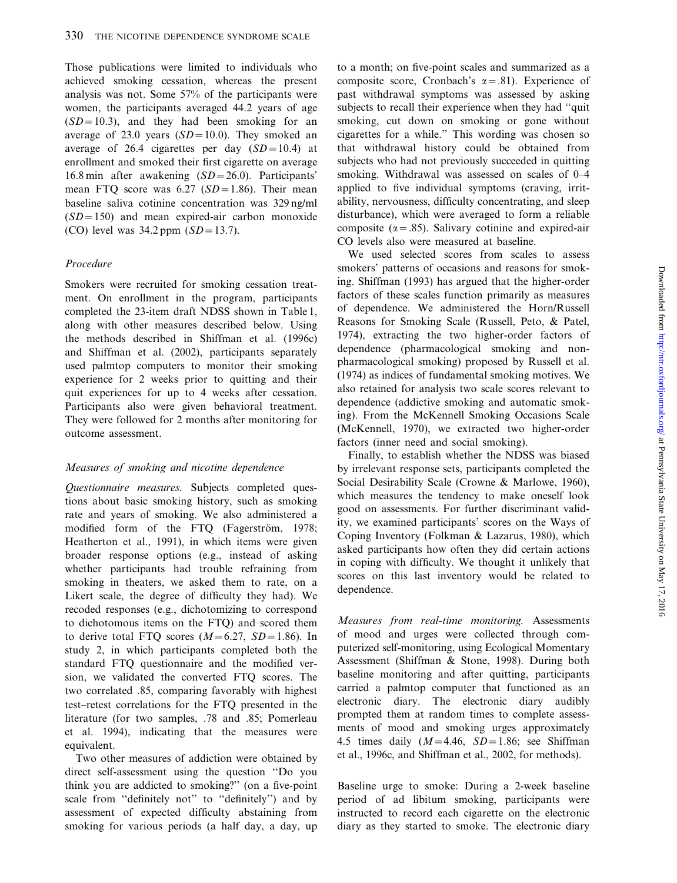Those publications were limited to individuals who achieved smoking cessation, whereas the present analysis was not. Some 57% of the participants were women, the participants averaged 44.2 years of age  $(SD=10.3)$ , and they had been smoking for an average of 23.0 years  $(SD=10.0)$ . They smoked an average of 26.4 cigarettes per day  $(SD=10.4)$  at enrollment and smoked their first cigarette on average 16.8 min after awakening  $(SD=26.0)$ . Participants' mean FTQ score was  $6.27$  (SD = 1.86). Their mean baseline saliva cotinine concentration was 329 ng/ml  $(SD=150)$  and mean expired-air carbon monoxide (CO) level was  $34.2$  ppm  $(SD=13.7)$ .

## Procedure

Smokers were recruited for smoking cessation treatment. On enrollment in the program, participants completed the 23-item draft NDSS shown in Table 1, along with other measures described below. Using the methods described in Shiffman et al. (1996c) and Shiffman et al. (2002), participants separately used palmtop computers to monitor their smoking experience for 2 weeks prior to quitting and their quit experiences for up to 4 weeks after cessation. Participants also were given behavioral treatment. They were followed for 2 months after monitoring for outcome assessment.

#### Measures of smoking and nicotine dependence

Questionnaire measures. Subjects completed questions about basic smoking history, such as smoking rate and years of smoking. We also administered a modified form of the FTO (Fagerström, 1978; Heatherton et al., 1991), in which items were given broader response options (e.g., instead of asking whether participants had trouble refraining from smoking in theaters, we asked them to rate, on a Likert scale, the degree of difficulty they had). We recoded responses (e.g., dichotomizing to correspond to dichotomous items on the FTQ) and scored them to derive total FTQ scores  $(M=6.27, SD=1.86)$ . In study 2, in which participants completed both the standard FTQ questionnaire and the modified version, we validated the converted FTQ scores. The two correlated .85, comparing favorably with highest test–retest correlations for the FTQ presented in the literature (for two samples, .78 and .85; Pomerleau et al. 1994), indicating that the measures were equivalent.

Two other measures of addiction were obtained by direct self-assessment using the question ''Do you think you are addicted to smoking?'' (on a five-point scale from "definitely not" to "definitely") and by assessment of expected difficulty abstaining from smoking for various periods (a half day, a day, up

to a month; on five-point scales and summarized as a composite score, Cronbach's  $\alpha = .81$ ). Experience of past withdrawal symptoms was assessed by asking subjects to recall their experience when they had ''quit smoking, cut down on smoking or gone without cigarettes for a while.'' This wording was chosen so that withdrawal history could be obtained from subjects who had not previously succeeded in quitting smoking. Withdrawal was assessed on scales of 0–4 applied to five individual symptoms (craving, irritability, nervousness, difficulty concentrating, and sleep disturbance), which were averaged to form a reliable composite ( $\alpha = .85$ ). Salivary cotinine and expired-air CO levels also were measured at baseline.

We used selected scores from scales to assess smokers' patterns of occasions and reasons for smoking. Shiffman (1993) has argued that the higher-order factors of these scales function primarily as measures of dependence. We administered the Horn/Russell Reasons for Smoking Scale (Russell, Peto, & Patel, 1974), extracting the two higher-order factors of dependence (pharmacological smoking and nonpharmacological smoking) proposed by Russell et al. (1974) as indices of fundamental smoking motives. We also retained for analysis two scale scores relevant to dependence (addictive smoking and automatic smoking). From the McKennell Smoking Occasions Scale (McKennell, 1970), we extracted two higher-order factors (inner need and social smoking).

Finally, to establish whether the NDSS was biased by irrelevant response sets, participants completed the Social Desirability Scale (Crowne & Marlowe, 1960), which measures the tendency to make oneself look good on assessments. For further discriminant validity, we examined participants' scores on the Ways of Coping Inventory (Folkman & Lazarus, 1980), which asked participants how often they did certain actions in coping with difficulty. We thought it unlikely that scores on this last inventory would be related to dependence.

Measures from real-time monitoring. Assessments of mood and urges were collected through computerized self-monitoring, using Ecological Momentary Assessment (Shiffman & Stone, 1998). During both baseline monitoring and after quitting, participants carried a palmtop computer that functioned as an electronic diary. The electronic diary audibly prompted them at random times to complete assessments of mood and smoking urges approximately 4.5 times daily  $(M=4.46, SD=1.86;$  see Shiffman et al., 1996c, and Shiffman et al., 2002, for methods).

Baseline urge to smoke: During a 2-week baseline period of ad libitum smoking, participants were instructed to record each cigarette on the electronic diary as they started to smoke. The electronic diary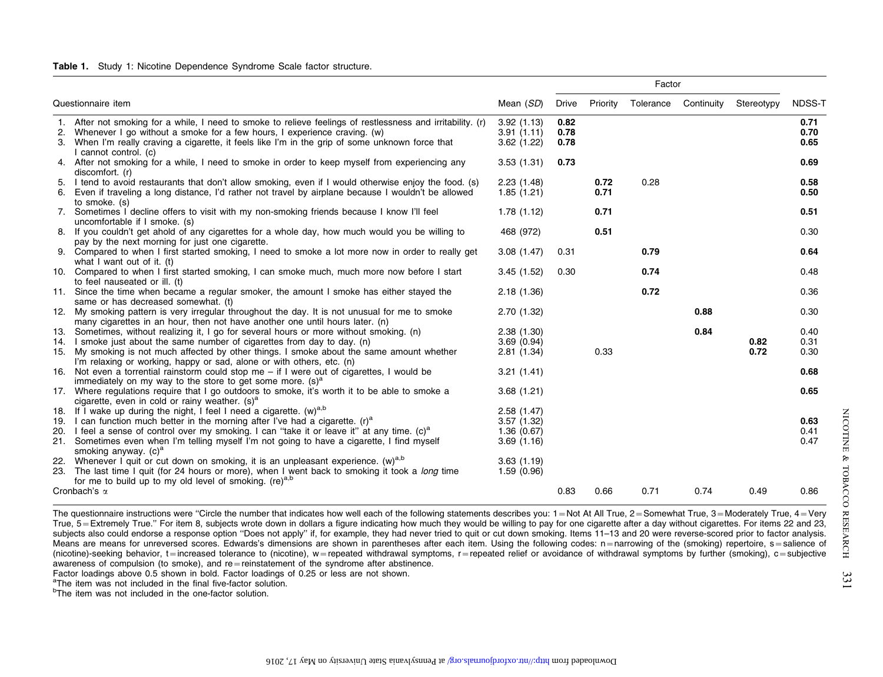#### Table 1. Study 1: Nicotine Dependence Syndrome Scale factor structure.

|    |                                                                                                                                                                                                                                                                                                                      |                                        |                      |              | Factor    |            |              |                      |
|----|----------------------------------------------------------------------------------------------------------------------------------------------------------------------------------------------------------------------------------------------------------------------------------------------------------------------|----------------------------------------|----------------------|--------------|-----------|------------|--------------|----------------------|
|    | Questionnaire item                                                                                                                                                                                                                                                                                                   | Mean (SD)                              | Drive                | Priority     | Tolerance | Continuity | Stereotypy   | NDSS-T               |
| 2. | 1. After not smoking for a while, I need to smoke to relieve feelings of restlessness and irritability. (r)<br>Whenever I go without a smoke for a few hours, I experience craving. (w)<br>3. When I'm really craving a cigarette, it feels like I'm in the grip of some unknown force that<br>I cannot control. (c) | 3.92(1.13)<br>3.91(1.11)<br>3.62(1.22) | 0.82<br>0.78<br>0.78 |              |           |            |              | 0.71<br>0.70<br>0.65 |
|    | 4. After not smoking for a while, I need to smoke in order to keep myself from experiencing any<br>discomfort. (r)                                                                                                                                                                                                   | 3.53(1.31)                             | 0.73                 |              |           |            |              | 0.69                 |
| 5. | I tend to avoid restaurants that don't allow smoking, even if I would otherwise enjoy the food. (s)<br>6. Even if traveling a long distance, I'd rather not travel by airplane because I wouldn't be allowed<br>to smoke. (s)                                                                                        | 2.23(1.48)<br>1.85(1.21)               |                      | 0.72<br>0.71 | 0.28      |            |              | 0.58<br>0.50         |
|    | 7. Sometimes I decline offers to visit with my non-smoking friends because I know I'll feel<br>uncomfortable if I smoke. (s)                                                                                                                                                                                         | 1.78(1.12)                             |                      | 0.71         |           |            |              | 0.51                 |
|    | 8. If you couldn't get ahold of any cigarettes for a whole day, how much would you be willing to<br>pay by the next morning for just one cigarette.                                                                                                                                                                  | 468 (972)                              |                      | 0.51         |           |            |              | 0.30                 |
|    | 9. Compared to when I first started smoking, I need to smoke a lot more now in order to really get<br>what I want out of it. $(t)$                                                                                                                                                                                   | 3.08(1.47)                             | 0.31                 |              | 0.79      |            |              | 0.64                 |
|    | 10. Compared to when I first started smoking, I can smoke much, much more now before I start<br>to feel nauseated or ill. (t)                                                                                                                                                                                        | 3.45(1.52)                             | 0.30                 |              | 0.74      |            |              | 0.48                 |
|    | 11. Since the time when became a regular smoker, the amount I smoke has either stayed the<br>same or has decreased somewhat. (t)                                                                                                                                                                                     | 2.18(1.36)                             |                      |              | 0.72      |            |              | 0.36                 |
|    | 12. My smoking pattern is very irregular throughout the day. It is not unusual for me to smoke<br>many cigarettes in an hour, then not have another one until hours later. (n)                                                                                                                                       | 2.70(1.32)                             |                      |              |           | 0.88       |              | 0.30                 |
|    | 13. Sometimes, without realizing it, I go for several hours or more without smoking. (n)<br>14. I smoke just about the same number of cigarettes from day to day. (n)<br>15. My smoking is not much affected by other things. I smoke about the same amount whether                                                  | 2.38(1.30)<br>3.69(0.94)<br>2.81(1.34) |                      | 0.33         |           | 0.84       | 0.82<br>0.72 | 0.40<br>0.31<br>0.30 |
|    | I'm relaxing or working, happy or sad, alone or with others, etc. (n)<br>16. Not even a torrential rainstorm could stop me – if I were out of cigarettes, I would be<br>immediately on my way to the store to get some more. $(s)^a$                                                                                 | 3.21(1.41)                             |                      |              |           |            |              | 0.68                 |
|    | 17. Where regulations require that I go outdoors to smoke, it's worth it to be able to smoke a<br>cigarette, even in cold or rainy weather. (s) <sup>a</sup>                                                                                                                                                         | 3.68(1.21)                             |                      |              |           |            |              | 0.65                 |
|    | 18. If I wake up during the night, I feel I need a cigarette. $(w)^{a,b}$<br>19. I can function much better in the morning after I've had a cigarette. $(r)^a$<br>20. I feel a sense of control over my smoking. I can "take it or leave it" at any time. (c) <sup>a</sup>                                           | 2.58(1.47)<br>3.57(1.32)<br>1.36(0.67) |                      |              |           |            |              | 0.63<br>0.41         |
|    | 21. Sometimes even when I'm telling myself I'm not going to have a cigarette, I find myself<br>smoking anyway. $(c)^a$<br>22. Whenever I quit or cut down on smoking, it is an unpleasant experience. $(w)^{a,b}$                                                                                                    | 3.69(1.16)<br>3.63(1.19)               |                      |              |           |            |              | 0.47                 |
|    | 23. The last time I quit (for 24 hours or more), when I went back to smoking it took a long time<br>for me to build up to my old level of smoking. (re) <sup>a,b</sup>                                                                                                                                               | 1.59(0.96)                             |                      |              |           |            |              |                      |
|    | Cronbach's $\alpha$                                                                                                                                                                                                                                                                                                  |                                        | 0.83                 | 0.66         | 0.71      | 0.74       | 0.49         | 0.86                 |

The questionnaire instructions were "Circle the number that indicates how well each of the following statements describes you:  $1 = Not At All True, 2 = Somewhat True, 3 = Modernative True, 4 = Very$ True, 5 = Extremely True." For item 8, subjects wrote down in dollars a figure indicating how much they would be willing to pay for one cigarette after a day without cigarettes. For items 22 and 23, subjects also could endorse a response option "Does not apply" if, for example, they had never tried to quit or cut down smoking. Items 11-13 and 20 were reverse-scored prior to factor analysis. Means are means for unreversed scores. Edwards's dimensions are shown in parentheses after each item. Using the following codes: n=narrowing of the (smoking) repertoire, s=salience of (nicotine)-seeking behavior, t=increased tolerance to (nicotine), w=repeated withdrawal symptoms, r=repeated relief or avoidance of withdrawal symptoms by further (smoking), c=subjective awareness of compulsion (to smoke), and  $re =$ reinstatement of the syndrome after abstinence.

Factor loadings above 0.5 shown in bold. Factor loadings of 0.25 or less are not shown.

<sup>a</sup>The item was not included in the final five-factor solution.

<sup>b</sup>The item was not included in the one-factor solution.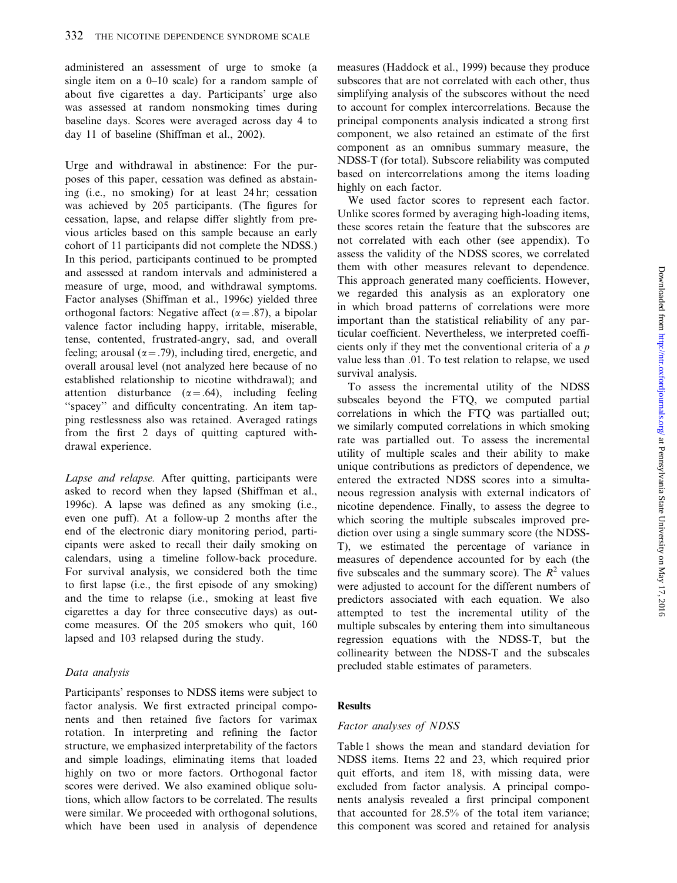administered an assessment of urge to smoke (a single item on a 0–10 scale) for a random sample of about five cigarettes a day. Participants' urge also was assessed at random nonsmoking times during baseline days. Scores were averaged across day 4 to day 11 of baseline (Shiffman et al., 2002).

Urge and withdrawal in abstinence: For the purposes of this paper, cessation was defined as abstaining (i.e., no smoking) for at least 24 hr; cessation was achieved by 205 participants. (The figures for cessation, lapse, and relapse differ slightly from previous articles based on this sample because an early cohort of 11 participants did not complete the NDSS.) In this period, participants continued to be prompted and assessed at random intervals and administered a measure of urge, mood, and withdrawal symptoms. Factor analyses (Shiffman et al., 1996c) yielded three orthogonal factors: Negative affect ( $\alpha = .87$ ), a bipolar valence factor including happy, irritable, miserable, tense, contented, frustrated-angry, sad, and overall feeling; arousal ( $\alpha = .79$ ), including tired, energetic, and overall arousal level (not analyzed here because of no established relationship to nicotine withdrawal); and attention disturbance  $(\alpha = .64)$ , including feeling "spacey" and difficulty concentrating. An item tapping restlessness also was retained. Averaged ratings from the first 2 days of quitting captured withdrawal experience.

Lapse and relapse. After quitting, participants were asked to record when they lapsed (Shiffman et al., 1996c). A lapse was defined as any smoking (i.e., even one puff). At a follow-up 2 months after the end of the electronic diary monitoring period, participants were asked to recall their daily smoking on calendars, using a timeline follow-back procedure. For survival analysis, we considered both the time to first lapse (i.e., the first episode of any smoking) and the time to relapse (i.e., smoking at least five cigarettes a day for three consecutive days) as outcome measures. Of the 205 smokers who quit, 160 lapsed and 103 relapsed during the study.

## Data analysis

Participants' responses to NDSS items were subject to factor analysis. We first extracted principal components and then retained five factors for varimax rotation. In interpreting and refining the factor structure, we emphasized interpretability of the factors and simple loadings, eliminating items that loaded highly on two or more factors. Orthogonal factor scores were derived. We also examined oblique solutions, which allow factors to be correlated. The results were similar. We proceeded with orthogonal solutions, which have been used in analysis of dependence measures (Haddock et al., 1999) because they produce subscores that are not correlated with each other, thus simplifying analysis of the subscores without the need to account for complex intercorrelations. Because the principal components analysis indicated a strong first component, we also retained an estimate of the first component as an omnibus summary measure, the NDSS-T (for total). Subscore reliability was computed based on intercorrelations among the items loading highly on each factor.

We used factor scores to represent each factor. Unlike scores formed by averaging high-loading items, these scores retain the feature that the subscores are not correlated with each other (see appendix). To assess the validity of the NDSS scores, we correlated them with other measures relevant to dependence. This approach generated many coefficients. However, we regarded this analysis as an exploratory one in which broad patterns of correlations were more important than the statistical reliability of any particular coefficient. Nevertheless, we interpreted coefficients only if they met the conventional criteria of a p value less than .01. To test relation to relapse, we used survival analysis.

To assess the incremental utility of the NDSS subscales beyond the FTQ, we computed partial correlations in which the FTQ was partialled out; we similarly computed correlations in which smoking rate was partialled out. To assess the incremental utility of multiple scales and their ability to make unique contributions as predictors of dependence, we entered the extracted NDSS scores into a simultaneous regression analysis with external indicators of nicotine dependence. Finally, to assess the degree to which scoring the multiple subscales improved prediction over using a single summary score (the NDSS-T), we estimated the percentage of variance in measures of dependence accounted for by each (the five subscales and the summary score). The  $R^2$  values were adjusted to account for the different numbers of predictors associated with each equation. We also attempted to test the incremental utility of the multiple subscales by entering them into simultaneous regression equations with the NDSS-T, but the collinearity between the NDSS-T and the subscales precluded stable estimates of parameters.

## **Results**

## Factor analyses of NDSS

Table 1 shows the mean and standard deviation for NDSS items. Items 22 and 23, which required prior quit efforts, and item 18, with missing data, were excluded from factor analysis. A principal components analysis revealed a first principal component that accounted for 28.5% of the total item variance; this component was scored and retained for analysis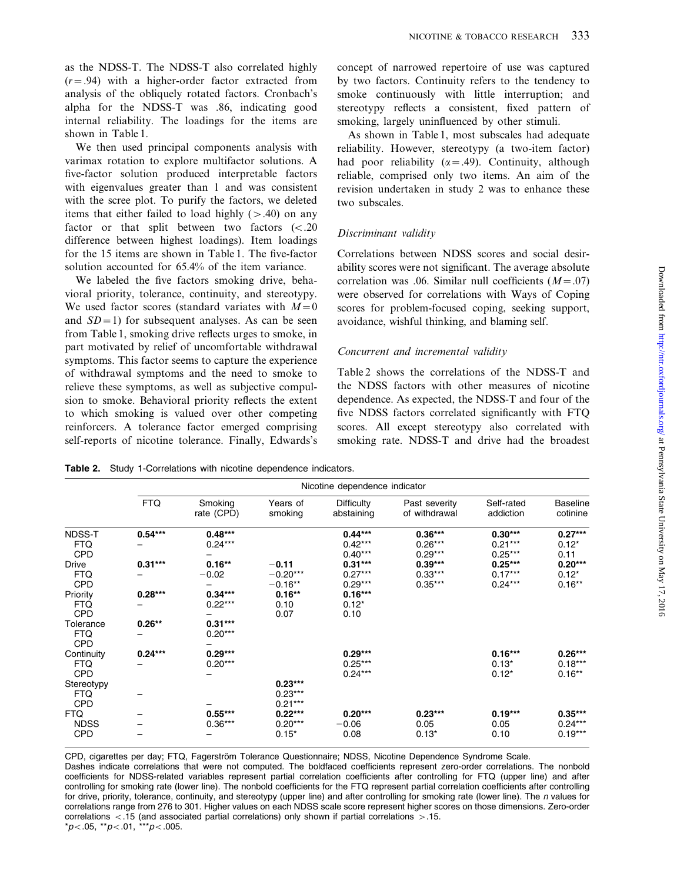as the NDSS-T. The NDSS-T also correlated highly  $(r=.94)$  with a higher-order factor extracted from analysis of the obliquely rotated factors. Cronbach's alpha for the NDSS-T was .86, indicating good internal reliability. The loadings for the items are shown in Table 1.

We then used principal components analysis with varimax rotation to explore multifactor solutions. A five-factor solution produced interpretable factors with eigenvalues greater than 1 and was consistent with the scree plot. To purify the factors, we deleted items that either failed to load highly  $(>40)$  on any factor or that split between two factors  $\approx 0.20$ difference between highest loadings). Item loadings for the 15 items are shown in Table 1. The five-factor solution accounted for 65.4% of the item variance.

We labeled the five factors smoking drive, behavioral priority, tolerance, continuity, and stereotypy. We used factor scores (standard variates with  $M=0$ and  $SD=1$ ) for subsequent analyses. As can be seen from Table 1, smoking drive reflects urges to smoke, in part motivated by relief of uncomfortable withdrawal symptoms. This factor seems to capture the experience of withdrawal symptoms and the need to smoke to relieve these symptoms, as well as subjective compulsion to smoke. Behavioral priority reflects the extent to which smoking is valued over other competing reinforcers. A tolerance factor emerged comprising self-reports of nicotine tolerance. Finally, Edwards's concept of narrowed repertoire of use was captured by two factors. Continuity refers to the tendency to smoke continuously with little interruption; and stereotypy reflects a consistent, fixed pattern of smoking, largely uninfluenced by other stimuli.

As shown in Table 1, most subscales had adequate reliability. However, stereotypy (a two-item factor) had poor reliability ( $\alpha$  = .49). Continuity, although reliable, comprised only two items. An aim of the revision undertaken in study 2 was to enhance these two subscales.

## Discriminant validity

Correlations between NDSS scores and social desirability scores were not significant. The average absolute correlation was .06. Similar null coefficients  $(M=0.07)$ were observed for correlations with Ways of Coping scores for problem-focused coping, seeking support, avoidance, wishful thinking, and blaming self.

## Concurrent and incremental validity

Table 2 shows the correlations of the NDSS-T and the NDSS factors with other measures of nicotine dependence. As expected, the NDSS-T and four of the five NDSS factors correlated significantly with FTQ scores. All except stereotypy also correlated with smoking rate. NDSS-T and drive had the broadest

Table 2. Study 1-Correlations with nicotine dependence indicators.

|                      | <b>FTQ</b> | Smoking<br>rate (CPD)  | Years of<br>smoking | Difficulty<br>abstaining | Past severity<br>of withdrawal                                                                                                      | Self-rated<br>addiction | <b>Baseline</b><br>cotinine |
|----------------------|------------|------------------------|---------------------|--------------------------|-------------------------------------------------------------------------------------------------------------------------------------|-------------------------|-----------------------------|
| NDSS-T<br><b>FTQ</b> | $0.54***$  | $0.48***$<br>$0.24***$ |                     | $0.44***$<br>$0.42***$   | $0.36***$<br>$0.26***$                                                                                                              | $0.30***$<br>$0.21***$  | $0.27***$<br>$0.12*$        |
| <b>CPD</b>           |            |                        |                     | $0.40***$                | $0.29***$                                                                                                                           | $0.25***$               | 0.11                        |
| Drive                | $0.31***$  | $0.16**$               | $-0.11$             | $0.31***$                | $0.39***$                                                                                                                           | $0.25***$               | $0.20***$                   |
| FTQ.                 |            | $-0.02$                | $-0.20***$          | $0.27***$                | $0.33***$                                                                                                                           | $0.17***$               | $0.12*$                     |
| <b>CPD</b>           |            |                        | $-0.16**$           | $0.29***$                | $0.35***$                                                                                                                           | $0.24***$               | $0.16***$                   |
| Priority             | $0.28***$  | $0.34***$              | $0.16**$            | $0.16***$                |                                                                                                                                     |                         |                             |
| FTQ                  |            | $0.22***$              | 0.10                | $0.12*$                  |                                                                                                                                     |                         |                             |
| <b>CPD</b>           |            |                        | 0.07                | 0.10                     |                                                                                                                                     |                         |                             |
| Tolerance            | $0.26**$   | $0.31***$              |                     |                          |                                                                                                                                     |                         |                             |
| FTQ.<br><b>CPD</b>   |            | $0.20***$              |                     |                          |                                                                                                                                     |                         |                             |
| Continuity           | $0.24***$  | $0.29***$              |                     | $0.29***$                |                                                                                                                                     | $0.16***$               | $0.26***$                   |
| FTQ                  |            | $0.20***$              |                     | $0.25***$                |                                                                                                                                     | $0.13*$                 | $0.18***$                   |
| <b>CPD</b>           |            |                        |                     | $0.24***$                |                                                                                                                                     | $0.12*$                 | $0.16***$                   |
| Stereotypy           |            |                        | $0.23***$           |                          |                                                                                                                                     |                         |                             |
| FTQ.                 |            |                        | $0.23***$           |                          |                                                                                                                                     |                         |                             |
| <b>CPD</b>           |            |                        | $0.21***$           |                          |                                                                                                                                     |                         |                             |
| FTQ.                 |            | $0.55***$              | $0.22***$           | $0.20***$                | $0.23***$                                                                                                                           | $0.19***$               | $0.35***$                   |
| <b>NDSS</b>          |            | $0.36***$              | $0.20***$           | $-0.06$                  | 0.05                                                                                                                                | 0.05                    | $0.24***$                   |
| <b>CPD</b>           |            |                        | $0.15*$             | 0.08                     | $0.13*$                                                                                                                             | 0.10                    | $0.19***$                   |
|                      |            |                        |                     |                          | CPD, cigarettes per day; FTQ, Fagerström Tolerance Questionnaire; NDSS, Nicotine Dependence Syndrome Scale.                         |                         |                             |
|                      |            |                        |                     |                          | Dashes indicate correlations that were not computed. The boldfaced coefficients represent zero-order correlations. The nonbold      |                         |                             |
|                      |            |                        |                     |                          | coefficients for NDSS-related variables represent partial correlation coefficients after controlling for FTQ (upper line) and after |                         |                             |

Nicotine dependence indicator

coefficients for NDSS-related variables represent partial correlation coefficients after controlling for FTQ (upper line) and after controlling for smoking rate (lower line). The nonbold coefficients for the FTQ represent partial correlation coefficients after controlling for drive, priority, tolerance, continuity, and stereotypy (upper line) and after controlling for smoking rate (lower line). The n values for correlations range from 276 to 301. Higher values on each NDSS scale score represent higher scores on those dimensions. Zero-order correlations  $\lt$ .15 (and associated partial correlations) only shown if partial correlations  $\gt$ .15.

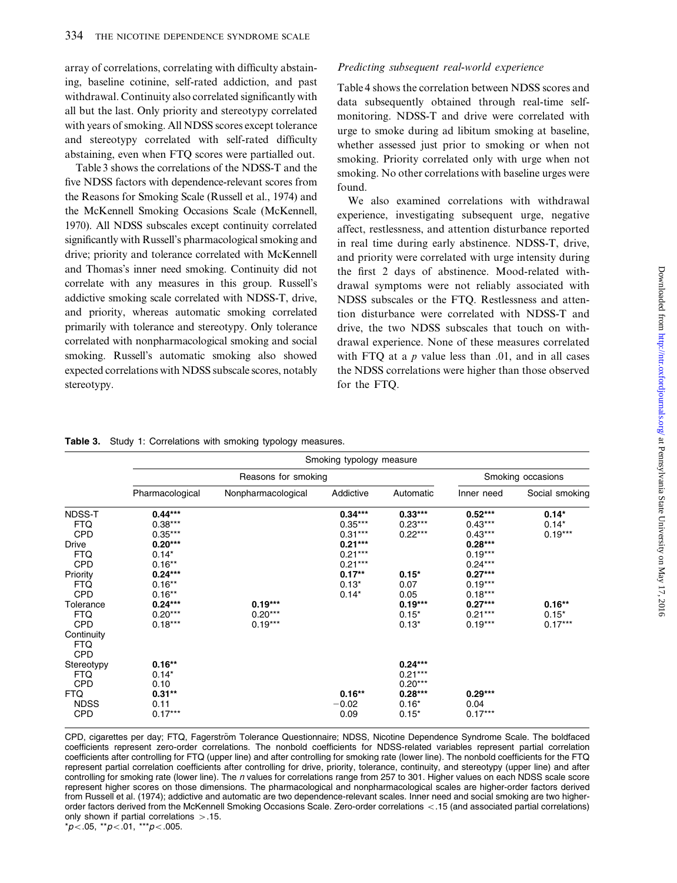array of correlations, correlating with difficulty abstaining, baseline cotinine, self-rated addiction, and past withdrawal. Continuity also correlated significantly with all but the last. Only priority and stereotypy correlated with years of smoking. All NDSS scores except tolerance and stereotypy correlated with self-rated difficulty abstaining, even when FTQ scores were partialled out.

Table 3 shows the correlations of the NDSS-T and the five NDSS factors with dependence-relevant scores from the Reasons for Smoking Scale (Russell et al., 1974) and the McKennell Smoking Occasions Scale (McKennell, 1970). All NDSS subscales except continuity correlated significantly with Russell's pharmacological smoking and drive; priority and tolerance correlated with McKennell and Thomas's inner need smoking. Continuity did not correlate with any measures in this group. Russell's addictive smoking scale correlated with NDSS-T, drive, and priority, whereas automatic smoking correlated primarily with tolerance and stereotypy. Only tolerance correlated with nonpharmacological smoking and social smoking. Russell's automatic smoking also showed expected correlations with NDSS subscale scores, notably stereotypy.

# Predicting subsequent real-world experience

Table 4 shows the correlation between NDSS scores and data subsequently obtained through real-time selfmonitoring. NDSS-T and drive were correlated with urge to smoke during ad libitum smoking at baseline, whether assessed just prior to smoking or when not smoking. Priority correlated only with urge when not smoking. No other correlations with baseline urges were found.

We also examined correlations with withdrawal experience, investigating subsequent urge, negative affect, restlessness, and attention disturbance reported in real time during early abstinence. NDSS-T, drive, and priority were correlated with urge intensity during the first 2 days of abstinence. Mood-related withdrawal symptoms were not reliably associated with NDSS subscales or the FTQ. Restlessness and attention disturbance were correlated with NDSS-T and drive, the two NDSS subscales that touch on withdrawal experience. None of these measures correlated with FTQ at a  $p$  value less than .01, and in all cases the NDSS correlations were higher than those observed for the FTQ.

|  |  |  | <b>Table 3.</b> Study 1: Correlations with smoking typology measures. |  |  |  |  |
|--|--|--|-----------------------------------------------------------------------|--|--|--|--|
|--|--|--|-----------------------------------------------------------------------|--|--|--|--|

|             |                 | Smoking typology measure |           |           |            |                   |  |  |  |
|-------------|-----------------|--------------------------|-----------|-----------|------------|-------------------|--|--|--|
|             |                 | Reasons for smoking      |           |           |            | Smoking occasions |  |  |  |
|             | Pharmacological | Nonpharmacological       | Addictive | Automatic | Inner need | Social smoking    |  |  |  |
| NDSS-T      | $0.44***$       |                          | $0.34***$ | $0.33***$ | $0.52***$  | $0.14*$           |  |  |  |
| <b>FTQ</b>  | $0.38***$       |                          | $0.35***$ | $0.23***$ | $0.43***$  | $0.14*$           |  |  |  |
| CPD         | $0.35***$       |                          | $0.31***$ | $0.22***$ | $0.43***$  | $0.19***$         |  |  |  |
| Drive       | $0.20***$       |                          | $0.21***$ |           | $0.28***$  |                   |  |  |  |
| <b>FTQ</b>  | $0.14*$         |                          | $0.21***$ |           | $0.19***$  |                   |  |  |  |
| CPD         | $0.16**$        |                          | $0.21***$ |           | $0.24***$  |                   |  |  |  |
| Priority    | $0.24***$       |                          | $0.17**$  | $0.15*$   | $0.27***$  |                   |  |  |  |
| <b>FTQ</b>  | $0.16***$       |                          | $0.13*$   | 0.07      | $0.19***$  |                   |  |  |  |
| CPD         | $0.16**$        |                          | $0.14*$   | 0.05      | $0.18***$  |                   |  |  |  |
| Tolerance   | $0.24***$       | $0.19***$                |           | $0.19***$ | $0.27***$  | $0.16***$         |  |  |  |
| <b>FTQ</b>  | $0.20***$       | $0.20***$                |           | $0.15*$   | $0.21***$  | $0.15*$           |  |  |  |
| CPD         | $0.18***$       | $0.19***$                |           | $0.13*$   | $0.19***$  | $0.17***$         |  |  |  |
| Continuity  |                 |                          |           |           |            |                   |  |  |  |
| FTQ         |                 |                          |           |           |            |                   |  |  |  |
| CPD         |                 |                          |           |           |            |                   |  |  |  |
| Stereotypy  | $0.16***$       |                          |           | $0.24***$ |            |                   |  |  |  |
| <b>FTQ</b>  | $0.14*$         |                          |           | $0.21***$ |            |                   |  |  |  |
| CPD         | 0.10            |                          |           | $0.20***$ |            |                   |  |  |  |
| <b>FTQ</b>  | $0.31**$        |                          | $0.16***$ | $0.28***$ | $0.29***$  |                   |  |  |  |
| <b>NDSS</b> | 0.11            |                          | $-0.02$   | $0.16*$   | 0.04       |                   |  |  |  |
| <b>CPD</b>  | $0.17***$       |                          | 0.09      | $0.15*$   | $0.17***$  |                   |  |  |  |
|             |                 |                          |           |           |            |                   |  |  |  |

CPD, cigarettes per day; FTQ, Fagerström Tolerance Questionnaire; NDSS, Nicotine Dependence Syndrome Scale. The boldfaced coefficients represent zero-order correlations. The nonbold coefficients for NDSS-related variables represent partial correlation coefficients after controlling for FTQ (upper line) and after controlling for smoking rate (lower line). The nonbold coefficients for the FTQ represent partial correlation coefficients after controlling for drive, priority, tolerance, continuity, and stereotypy (upper line) and after controlling for smoking rate (lower line). The n values for correlations range from 257 to 301. Higher values on each NDSS scale score represent higher scores on those dimensions. The pharmacological and nonpharmacological scales are higher-order factors derived from Russell et al. (1974); addictive and automatic are two dependence-relevant scales. Inner need and social smoking are two higherorder factors derived from the McKennell Smoking Occasions Scale. Zero-order correlations v.15 (and associated partial correlations) only shown if partial correlations  $> .15$ .  $*p$ <.05,  $*p$ <.01,  $**p$ <.005.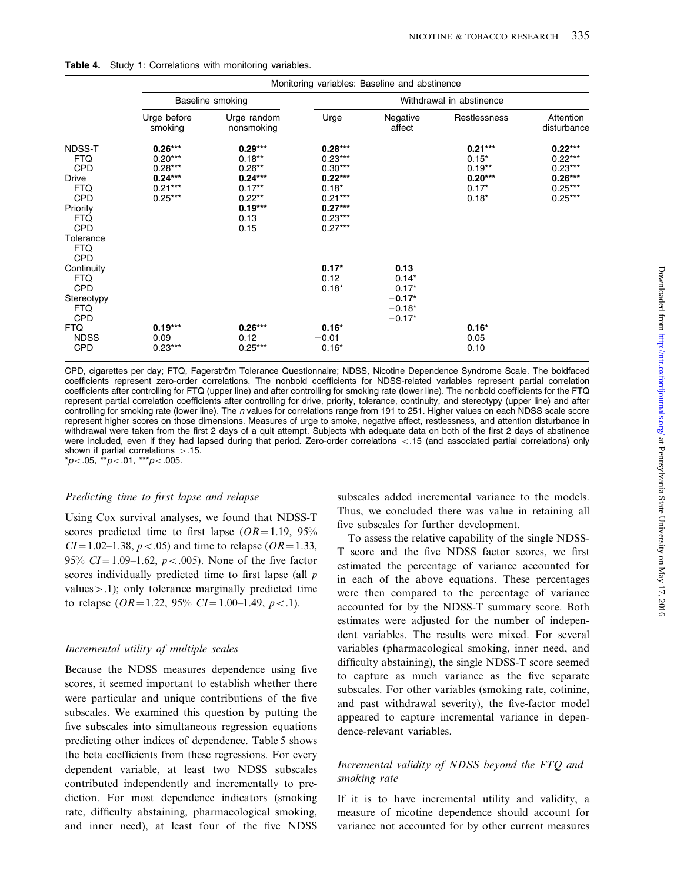|                                                                                                                       |                                                                            | Monitoring variables: Baseline and abstinence                                                           |                                                                                                                 |                                                                |                                                                     |                                                                            |  |  |  |  |
|-----------------------------------------------------------------------------------------------------------------------|----------------------------------------------------------------------------|---------------------------------------------------------------------------------------------------------|-----------------------------------------------------------------------------------------------------------------|----------------------------------------------------------------|---------------------------------------------------------------------|----------------------------------------------------------------------------|--|--|--|--|
|                                                                                                                       |                                                                            | Baseline smoking                                                                                        |                                                                                                                 | Withdrawal in abstinence                                       |                                                                     |                                                                            |  |  |  |  |
|                                                                                                                       | Urge before<br>smoking                                                     | Urge random<br>nonsmoking                                                                               | Urge                                                                                                            | Negative<br>affect                                             | Restlessness                                                        | Attention<br>disturbance                                                   |  |  |  |  |
| NDSS-T<br><b>FTQ</b><br>CPD<br>Drive<br><b>FTQ</b><br>CPD<br>Priority<br><b>FTQ</b><br>CPD<br>Tolerance<br><b>FTQ</b> | $0.26***$<br>$0.20***$<br>$0.28***$<br>$0.24***$<br>$0.21***$<br>$0.25***$ | $0.29***$<br>$0.18***$<br>$0.26***$<br>$0.24***$<br>$0.17***$<br>$0.22***$<br>$0.19***$<br>0.13<br>0.15 | $0.28***$<br>$0.23***$<br>$0.30***$<br>$0.22***$<br>$0.18*$<br>$0.21***$<br>$0.27***$<br>$0.23***$<br>$0.27***$ |                                                                | $0.21***$<br>$0.15*$<br>$0.19**$<br>$0.20***$<br>$0.17*$<br>$0.18*$ | $0.22***$<br>$0.22***$<br>$0.23***$<br>$0.26***$<br>$0.25***$<br>$0.25***$ |  |  |  |  |
| CPD<br>Continuity<br><b>FTQ</b><br>CPD<br>Stereotypy<br><b>FTQ</b><br>CPD<br><b>FTQ</b><br><b>NDSS</b><br>CPD         | $0.19***$<br>0.09<br>$0.23***$                                             | $0.26***$<br>0.12<br>$0.25***$                                                                          | $0.17*$<br>0.12<br>$0.18*$<br>$0.16*$<br>$-0.01$<br>$0.16*$                                                     | 0.13<br>$0.14*$<br>$0.17*$<br>$-0.17*$<br>$-0.18*$<br>$-0.17*$ | $0.16*$<br>0.05<br>0.10                                             |                                                                            |  |  |  |  |

Table 4. Study 1: Correlations with monitoring variables.

CPD, cigarettes per day; FTQ, Fagerström Tolerance Questionnaire; NDSS, Nicotine Dependence Syndrome Scale. The boldfaced coefficients represent zero-order correlations. The nonbold coefficients for NDSS-related variables represent partial correlation coefficients after controlling for FTQ (upper line) and after controlling for smoking rate (lower line). The nonbold coefficients for the FTQ represent partial correlation coefficients after controlling for drive, priority, tolerance, continuity, and stereotypy (upper line) and after controlling for smoking rate (lower line). The n values for correlations range from 191 to 251. Higher values on each NDSS scale score represent higher scores on those dimensions. Measures of urge to smoke, negative affect, restlessness, and attention disturbance in withdrawal were taken from the first 2 days of a quit attempt. Subjects with adequate data on both of the first 2 days of abstinence were included, even if they had lapsed during that period. Zero-order correlations < 15 (and associated partial correlations) only shown if partial correlations  $> 15$ .  $*p$  < .05,  $*p$  < .01,  $**p$  < .005.

## Predicting time to first lapse and relapse

Using Cox survival analyses, we found that NDSS-T scores predicted time to first lapse  $(OR=1.19, 95\%)$  $CI = 1.02-1.38$ ,  $p < .05$ ) and time to relapse (OR = 1.33, 95%  $CI = 1.09-1.62$ ,  $p < .005$ ). None of the five factor scores individually predicted time to first lapse (all p values $> 0.1$ ); only tolerance marginally predicted time to relapse  $(OR=1.22, 95\% \text{ CI} = 1.00-1.49, p<.1).$ 

## Incremental utility of multiple scales

Because the NDSS measures dependence using five scores, it seemed important to establish whether there were particular and unique contributions of the five subscales. We examined this question by putting the five subscales into simultaneous regression equations predicting other indices of dependence. Table 5 shows the beta coefficients from these regressions. For every dependent variable, at least two NDSS subscales contributed independently and incrementally to prediction. For most dependence indicators (smoking rate, difficulty abstaining, pharmacological smoking, and inner need), at least four of the five NDSS

subscales added incremental variance to the models. Thus, we concluded there was value in retaining all five subscales for further development.

To assess the relative capability of the single NDSS-T score and the five NDSS factor scores, we first estimated the percentage of variance accounted for in each of the above equations. These percentages were then compared to the percentage of variance accounted for by the NDSS-T summary score. Both estimates were adjusted for the number of independent variables. The results were mixed. For several variables (pharmacological smoking, inner need, and difficulty abstaining), the single NDSS-T score seemed to capture as much variance as the five separate subscales. For other variables (smoking rate, cotinine, and past withdrawal severity), the five-factor model appeared to capture incremental variance in dependence-relevant variables.

# Incremental validity of NDSS beyond the FTQ and smoking rate

If it is to have incremental utility and validity, a measure of nicotine dependence should account for variance not accounted for by other current measures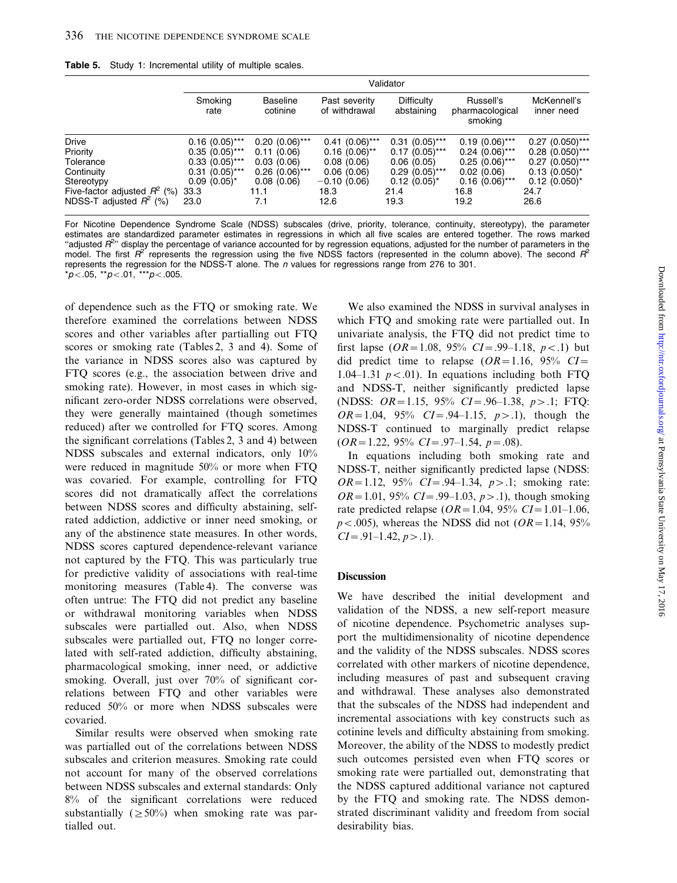|  |  | <b>Table 5.</b> Study 1: Incremental utility of multiple scales. |  |  |  |
|--|--|------------------------------------------------------------------|--|--|--|
|--|--|------------------------------------------------------------------|--|--|--|

|                                | Validator        |                             |                                |                                 |                                         |                             |
|--------------------------------|------------------|-----------------------------|--------------------------------|---------------------------------|-----------------------------------------|-----------------------------|
|                                | Smoking<br>rate  | <b>Baseline</b><br>cotinine | Past severity<br>of withdrawal | <b>Difficulty</b><br>abstaining | Russell's<br>pharmacological<br>smoking | McKennell's<br>inner need   |
| <b>Drive</b>                   | $0.16$ (0.05)*** | $0.20(0.06)$ ***            | $0.41 (0.06)$ ***              | $0.31$ $(0.05)$ ***             | $0.19(0.06)$ ***                        | $0.27$ (0.050)***           |
| Priority                       | $0.35(0.05)$ *** | 0.11(0.06)                  | $0.16(0.06)$ **                | $0.17(0.05)***$                 | $0.24$ $(0.06)$ ***                     | $0.28$ (0.050)***           |
| Tolerance                      | $0.33(0.05)$ *** | 0.03(0.06)                  | 0.08(0.06)                     | 0.06(0.05)                      | $0.25(0.06)***$                         | $0.27$ (0.050)***           |
| Continuity                     | $0.31(0.05)***$  | $0.26$ $(0.06)$ ***         | 0.06(0.06)                     | $0.29(0.05)***$                 | 0.02(0.06)                              | $0.13(0.050)^{*}$           |
| Stereotypy                     | $0.09(0.05)^*$   | 0.08(0.06)                  | $-0.10(0.06)$                  | $0.12(0.05)^{*}$                | $0.16(0.06)$ ***                        | $0.12$ (0.050) <sup>*</sup> |
| Five-factor adjusted $R^2$ (%) | 33.3             | 11.1                        | 18.3                           | 21.4                            | 16.8                                    | 24.7                        |
| NDSS-T adjusted $R^2$ (%)      | 23.0             | 7.1                         | 12.6                           | 19.3                            | 19.2                                    | 26.6                        |

For Nicotine Dependence Syndrome Scale (NDSS) subscales (drive, priority, tolerance, continuity, stereotypy), the parameter estimates are standardized parameter estimates in regressions in which all five scales are entered together. The rows marked "adjusted  $R^{2n}$  display the percentage of variance accounted for by regression equations, adjusted for the number of parameters in the model. The first  $R^2$  represents the regression using the five NDSS factors (represented in the column above). The second  $R^2$ represents the regression for the NDSS-T alone. The  $n$  values for regressions range from 276 to 301.  $*p$ <.05,  $*p$ <.01,  $**p$ <.005.

of dependence such as the FTQ or smoking rate. We therefore examined the correlations between NDSS scores and other variables after partialling out FTQ scores or smoking rate (Tables 2, 3 and 4). Some of the variance in NDSS scores also was captured by FTQ scores (e.g., the association between drive and smoking rate). However, in most cases in which significant zero-order NDSS correlations were observed, they were generally maintained (though sometimes reduced) after we controlled for FTQ scores. Among the significant correlations (Tables 2, 3 and 4) between NDSS subscales and external indicators, only 10% were reduced in magnitude 50% or more when FTQ was covaried. For example, controlling for FTQ scores did not dramatically affect the correlations between NDSS scores and difficulty abstaining, selfrated addiction, addictive or inner need smoking, or any of the abstinence state measures. In other words, NDSS scores captured dependence-relevant variance not captured by the FTQ. This was particularly true for predictive validity of associations with real-time monitoring measures (Table 4). The converse was often untrue: The FTQ did not predict any baseline or withdrawal monitoring variables when NDSS subscales were partialled out. Also, when NDSS subscales were partialled out, FTQ no longer correlated with self-rated addiction, difficulty abstaining, pharmacological smoking, inner need, or addictive smoking. Overall, just over 70% of significant correlations between FTQ and other variables were reduced 50% or more when NDSS subscales were covaried.

Similar results were observed when smoking rate was partialled out of the correlations between NDSS subscales and criterion measures. Smoking rate could not account for many of the observed correlations between NDSS subscales and external standards: Only 8% of the significant correlations were reduced substantially  $(≥50%)$  when smoking rate was partialled out.

We also examined the NDSS in survival analyses in which FTQ and smoking rate were partialled out. In univariate analysis, the FTQ did not predict time to first lapse  $(OR=1.08, 95\% \text{ CI} = .99-1.18, p<.1)$  but did predict time to relapse  $(OR=1.16, 95\% \text{ } CI=$ 1.04–1.31  $p < .01$ ). In equations including both FTQ and NDSS-T, neither significantly predicted lapse (NDSS:  $OR = 1.15$ , 95%  $CI = .96-1.38$ ,  $p > .1$ ; FTQ:  $OR=1.04$ ,  $95\%$   $CI=.94-1.15$ ,  $p>1$ ), though the NDSS-T continued to marginally predict relapse  $(OR=1.22, 95\% \ CI = .97-1.54, p=.08).$ 

In equations including both smoking rate and NDSS-T, neither significantly predicted lapse (NDSS:  $OR=1.12$ , 95%  $CI=.94-1.34$ ,  $p>.1$ ; smoking rate:  $OR=1.01$ , 95%  $CI=.99-1.03$ ,  $p>1$ ), though smoking rate predicted relapse ( $OR = 1.04$ , 95%  $CI = 1.01 - 1.06$ ,  $p < .005$ ), whereas the NDSS did not ( $OR = 1.14$ , 95%  $CI = .91-1.42, p > .1$ .

#### **Discussion**

We have described the initial development and validation of the NDSS, a new self-report measure of nicotine dependence. Psychometric analyses support the multidimensionality of nicotine dependence and the validity of the NDSS subscales. NDSS scores correlated with other markers of nicotine dependence, including measures of past and subsequent craving and withdrawal. These analyses also demonstrated that the subscales of the NDSS had independent and incremental associations with key constructs such as cotinine levels and difficulty abstaining from smoking. Moreover, the ability of the NDSS to modestly predict such outcomes persisted even when FTQ scores or smoking rate were partialled out, demonstrating that the NDSS captured additional variance not captured by the FTQ and smoking rate. The NDSS demonstrated discriminant validity and freedom from social desirability bias.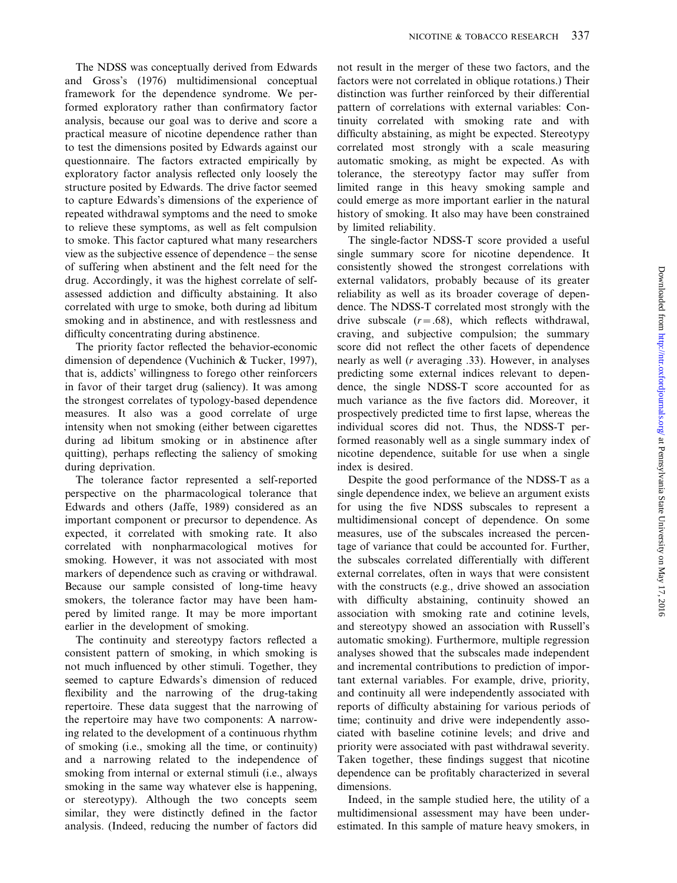The NDSS was conceptually derived from Edwards and Gross's (1976) multidimensional conceptual framework for the dependence syndrome. We performed exploratory rather than confirmatory factor analysis, because our goal was to derive and score a practical measure of nicotine dependence rather than to test the dimensions posited by Edwards against our questionnaire. The factors extracted empirically by exploratory factor analysis reflected only loosely the structure posited by Edwards. The drive factor seemed to capture Edwards's dimensions of the experience of repeated withdrawal symptoms and the need to smoke to relieve these symptoms, as well as felt compulsion to smoke. This factor captured what many researchers view as the subjective essence of dependence – the sense of suffering when abstinent and the felt need for the drug. Accordingly, it was the highest correlate of selfassessed addiction and difficulty abstaining. It also correlated with urge to smoke, both during ad libitum smoking and in abstinence, and with restlessness and difficulty concentrating during abstinence.

The priority factor reflected the behavior-economic dimension of dependence (Vuchinich & Tucker, 1997), that is, addicts' willingness to forego other reinforcers in favor of their target drug (saliency). It was among the strongest correlates of typology-based dependence measures. It also was a good correlate of urge intensity when not smoking (either between cigarettes during ad libitum smoking or in abstinence after quitting), perhaps reflecting the saliency of smoking during deprivation.

The tolerance factor represented a self-reported perspective on the pharmacological tolerance that Edwards and others (Jaffe, 1989) considered as an important component or precursor to dependence. As expected, it correlated with smoking rate. It also correlated with nonpharmacological motives for smoking. However, it was not associated with most markers of dependence such as craving or withdrawal. Because our sample consisted of long-time heavy smokers, the tolerance factor may have been hampered by limited range. It may be more important earlier in the development of smoking.

The continuity and stereotypy factors reflected a consistent pattern of smoking, in which smoking is not much influenced by other stimuli. Together, they seemed to capture Edwards's dimension of reduced flexibility and the narrowing of the drug-taking repertoire. These data suggest that the narrowing of the repertoire may have two components: A narrowing related to the development of a continuous rhythm of smoking (i.e., smoking all the time, or continuity) and a narrowing related to the independence of smoking from internal or external stimuli (i.e., always smoking in the same way whatever else is happening, or stereotypy). Although the two concepts seem similar, they were distinctly defined in the factor analysis. (Indeed, reducing the number of factors did

not result in the merger of these two factors, and the factors were not correlated in oblique rotations.) Their distinction was further reinforced by their differential pattern of correlations with external variables: Continuity correlated with smoking rate and with difficulty abstaining, as might be expected. Stereotypy correlated most strongly with a scale measuring automatic smoking, as might be expected. As with tolerance, the stereotypy factor may suffer from limited range in this heavy smoking sample and could emerge as more important earlier in the natural history of smoking. It also may have been constrained by limited reliability.

The single-factor NDSS-T score provided a useful single summary score for nicotine dependence. It consistently showed the strongest correlations with external validators, probably because of its greater reliability as well as its broader coverage of dependence. The NDSS-T correlated most strongly with the drive subscale  $(r=.68)$ , which reflects withdrawal, craving, and subjective compulsion; the summary score did not reflect the other facets of dependence nearly as well (r averaging .33). However, in analyses predicting some external indices relevant to dependence, the single NDSS-T score accounted for as much variance as the five factors did. Moreover, it prospectively predicted time to first lapse, whereas the individual scores did not. Thus, the NDSS-T performed reasonably well as a single summary index of nicotine dependence, suitable for use when a single index is desired.

Despite the good performance of the NDSS-T as a single dependence index, we believe an argument exists for using the five NDSS subscales to represent a multidimensional concept of dependence. On some measures, use of the subscales increased the percentage of variance that could be accounted for. Further, the subscales correlated differentially with different external correlates, often in ways that were consistent with the constructs (e.g., drive showed an association with difficulty abstaining, continuity showed an association with smoking rate and cotinine levels, and stereotypy showed an association with Russell's automatic smoking). Furthermore, multiple regression analyses showed that the subscales made independent and incremental contributions to prediction of important external variables. For example, drive, priority, and continuity all were independently associated with reports of difficulty abstaining for various periods of time; continuity and drive were independently associated with baseline cotinine levels; and drive and priority were associated with past withdrawal severity. Taken together, these findings suggest that nicotine dependence can be profitably characterized in several dimensions.

Indeed, in the sample studied here, the utility of a multidimensional assessment may have been underestimated. In this sample of mature heavy smokers, in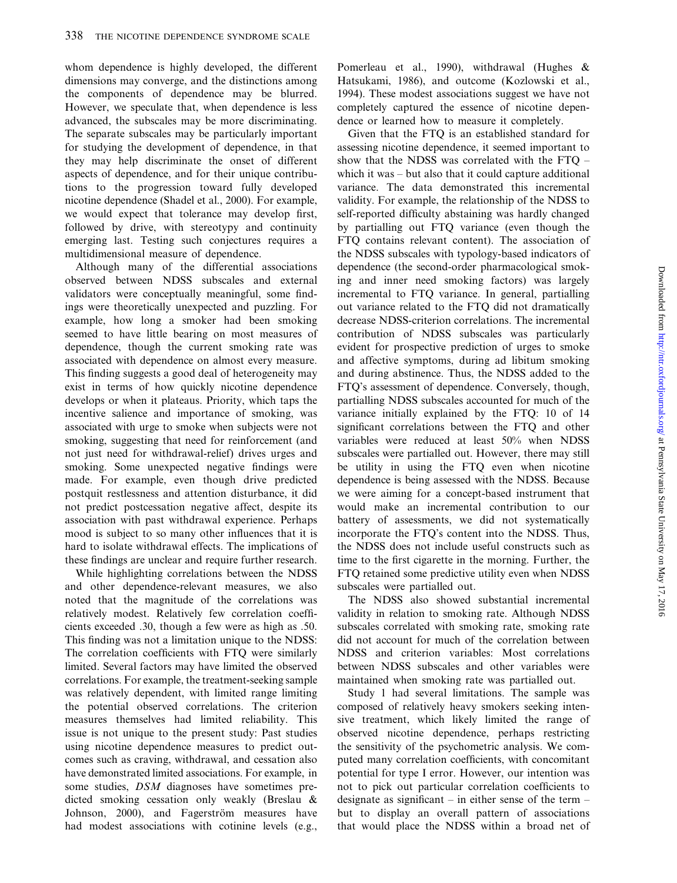whom dependence is highly developed, the different dimensions may converge, and the distinctions among the components of dependence may be blurred. However, we speculate that, when dependence is less advanced, the subscales may be more discriminating. The separate subscales may be particularly important for studying the development of dependence, in that they may help discriminate the onset of different aspects of dependence, and for their unique contributions to the progression toward fully developed nicotine dependence (Shadel et al., 2000). For example, we would expect that tolerance may develop first, followed by drive, with stereotypy and continuity emerging last. Testing such conjectures requires a multidimensional measure of dependence.

Although many of the differential associations observed between NDSS subscales and external validators were conceptually meaningful, some findings were theoretically unexpected and puzzling. For example, how long a smoker had been smoking seemed to have little bearing on most measures of dependence, though the current smoking rate was associated with dependence on almost every measure. This finding suggests a good deal of heterogeneity may exist in terms of how quickly nicotine dependence develops or when it plateaus. Priority, which taps the incentive salience and importance of smoking, was associated with urge to smoke when subjects were not smoking, suggesting that need for reinforcement (and not just need for withdrawal-relief) drives urges and smoking. Some unexpected negative findings were made. For example, even though drive predicted postquit restlessness and attention disturbance, it did not predict postcessation negative affect, despite its association with past withdrawal experience. Perhaps mood is subject to so many other influences that it is hard to isolate withdrawal effects. The implications of these findings are unclear and require further research.

While highlighting correlations between the NDSS and other dependence-relevant measures, we also noted that the magnitude of the correlations was relatively modest. Relatively few correlation coefficients exceeded .30, though a few were as high as .50. This finding was not a limitation unique to the NDSS: The correlation coefficients with FTQ were similarly limited. Several factors may have limited the observed correlations. For example, the treatment-seeking sample was relatively dependent, with limited range limiting the potential observed correlations. The criterion measures themselves had limited reliability. This issue is not unique to the present study: Past studies using nicotine dependence measures to predict outcomes such as craving, withdrawal, and cessation also have demonstrated limited associations. For example, in some studies, DSM diagnoses have sometimes predicted smoking cessation only weakly (Breslau & Johnson, 2000), and Fagerström measures have had modest associations with cotinine levels (e.g.,

Pomerleau et al., 1990), withdrawal (Hughes & Hatsukami, 1986), and outcome (Kozlowski et al., 1994). These modest associations suggest we have not completely captured the essence of nicotine dependence or learned how to measure it completely.

Given that the FTQ is an established standard for assessing nicotine dependence, it seemed important to show that the NDSS was correlated with the FTQ – which it was – but also that it could capture additional variance. The data demonstrated this incremental validity. For example, the relationship of the NDSS to self-reported difficulty abstaining was hardly changed by partialling out FTQ variance (even though the FTQ contains relevant content). The association of the NDSS subscales with typology-based indicators of dependence (the second-order pharmacological smoking and inner need smoking factors) was largely incremental to FTQ variance. In general, partialling out variance related to the FTQ did not dramatically decrease NDSS-criterion correlations. The incremental contribution of NDSS subscales was particularly evident for prospective prediction of urges to smoke and affective symptoms, during ad libitum smoking and during abstinence. Thus, the NDSS added to the FTQ's assessment of dependence. Conversely, though, partialling NDSS subscales accounted for much of the variance initially explained by the FTQ: 10 of 14 significant correlations between the FTQ and other variables were reduced at least 50% when NDSS subscales were partialled out. However, there may still be utility in using the FTQ even when nicotine dependence is being assessed with the NDSS. Because we were aiming for a concept-based instrument that would make an incremental contribution to our battery of assessments, we did not systematically incorporate the FTQ's content into the NDSS. Thus, the NDSS does not include useful constructs such as time to the first cigarette in the morning. Further, the FTQ retained some predictive utility even when NDSS subscales were partialled out.

The NDSS also showed substantial incremental validity in relation to smoking rate. Although NDSS subscales correlated with smoking rate, smoking rate did not account for much of the correlation between NDSS and criterion variables: Most correlations between NDSS subscales and other variables were maintained when smoking rate was partialled out.

Study 1 had several limitations. The sample was composed of relatively heavy smokers seeking intensive treatment, which likely limited the range of observed nicotine dependence, perhaps restricting the sensitivity of the psychometric analysis. We computed many correlation coefficients, with concomitant potential for type I error. However, our intention was not to pick out particular correlation coefficients to designate as significant – in either sense of the term – but to display an overall pattern of associations that would place the NDSS within a broad net of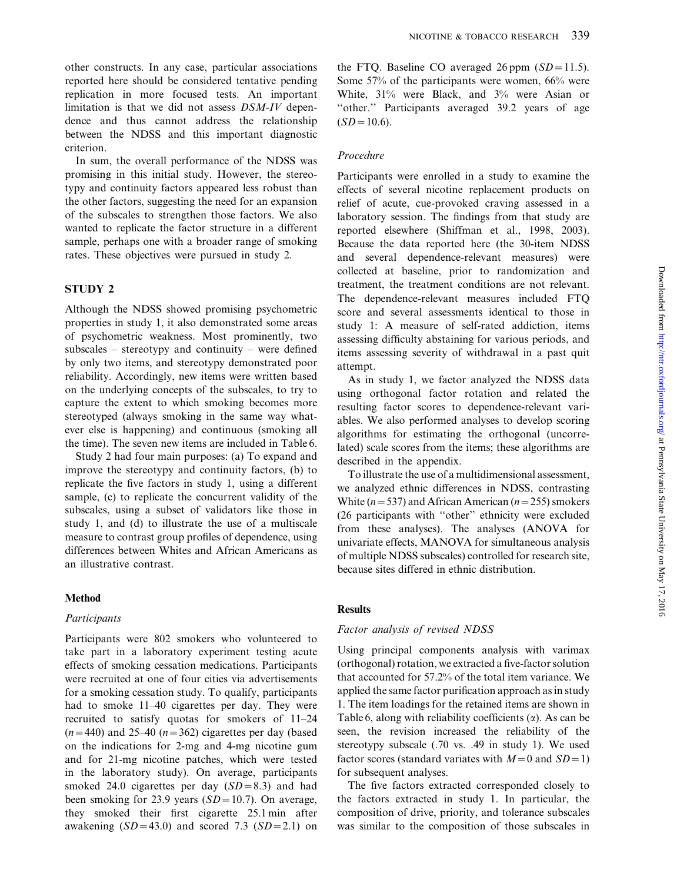other constructs. In any case, particular associations reported here should be considered tentative pending replication in more focused tests. An important limitation is that we did not assess DSM-IV dependence and thus cannot address the relationship between the NDSS and this important diagnostic criterion.

In sum, the overall performance of the NDSS was promising in this initial study. However, the stereotypy and continuity factors appeared less robust than the other factors, suggesting the need for an expansion of the subscales to strengthen those factors. We also wanted to replicate the factor structure in a different sample, perhaps one with a broader range of smoking rates. These objectives were pursued in study 2.

## STUDY 2

Although the NDSS showed promising psychometric properties in study 1, it also demonstrated some areas of psychometric weakness. Most prominently, two subscales – stereotypy and continuity – were defined by only two items, and stereotypy demonstrated poor reliability. Accordingly, new items were written based on the underlying concepts of the subscales, to try to capture the extent to which smoking becomes more stereotyped (always smoking in the same way whatever else is happening) and continuous (smoking all the time). The seven new items are included in Table 6.

Study 2 had four main purposes: (a) To expand and improve the stereotypy and continuity factors, (b) to replicate the five factors in study 1, using a different sample, (c) to replicate the concurrent validity of the subscales, using a subset of validators like those in study 1, and (d) to illustrate the use of a multiscale measure to contrast group profiles of dependence, using differences between Whites and African Americans as an illustrative contrast.

#### Method

#### **Participants**

Participants were 802 smokers who volunteered to take part in a laboratory experiment testing acute effects of smoking cessation medications. Participants were recruited at one of four cities via advertisements for a smoking cessation study. To qualify, participants had to smoke 11–40 cigarettes per day. They were recruited to satisfy quotas for smokers of 11–24  $(n=440)$  and 25–40  $(n=362)$  cigarettes per day (based on the indications for 2-mg and 4-mg nicotine gum and for 21-mg nicotine patches, which were tested in the laboratory study). On average, participants smoked 24.0 cigarettes per day  $(SD=8.3)$  and had been smoking for 23.9 years  $(SD=10.7)$ . On average, they smoked their first cigarette 25.1 min after awakening  $(SD=43.0)$  and scored 7.3  $(SD=2.1)$  on

the FTO. Baseline CO averaged 26 ppm  $(SD=11.5)$ . Some 57% of the participants were women, 66% were White, 31% were Black, and 3% were Asian or "other." Participants averaged 39.2 years of age  $(SD=10.6)$ .

#### Procedure

Participants were enrolled in a study to examine the effects of several nicotine replacement products on relief of acute, cue-provoked craving assessed in a laboratory session. The findings from that study are reported elsewhere (Shiffman et al., 1998, 2003). Because the data reported here (the 30-item NDSS and several dependence-relevant measures) were collected at baseline, prior to randomization and treatment, the treatment conditions are not relevant. The dependence-relevant measures included FTQ score and several assessments identical to those in study 1: A measure of self-rated addiction, items assessing difficulty abstaining for various periods, and items assessing severity of withdrawal in a past quit attempt.

As in study 1, we factor analyzed the NDSS data using orthogonal factor rotation and related the resulting factor scores to dependence-relevant variables. We also performed analyses to develop scoring algorithms for estimating the orthogonal (uncorrelated) scale scores from the items; these algorithms are described in the appendix.

To illustrate the use of a multidimensional assessment, we analyzed ethnic differences in NDSS, contrasting White ( $n=537$ ) and African American ( $n=255$ ) smokers (26 participants with ''other'' ethnicity were excluded from these analyses). The analyses (ANOVA for univariate effects, MANOVA for simultaneous analysis of multiple NDSS subscales) controlled for research site, because sites differed in ethnic distribution.

#### **Results**

#### Factor analysis of revised NDSS

Using principal components analysis with varimax (orthogonal) rotation, we extracted a five-factor solution that accounted for 57.2% of the total item variance. We applied the same factor purification approach as in study 1. The item loadings for the retained items are shown in Table 6, along with reliability coefficients  $(\alpha)$ . As can be seen, the revision increased the reliability of the stereotypy subscale (.70 vs. .49 in study 1). We used factor scores (standard variates with  $M=0$  and  $SD=1$ ) for subsequent analyses.

The five factors extracted corresponded closely to the factors extracted in study 1. In particular, the composition of drive, priority, and tolerance subscales was similar to the composition of those subscales in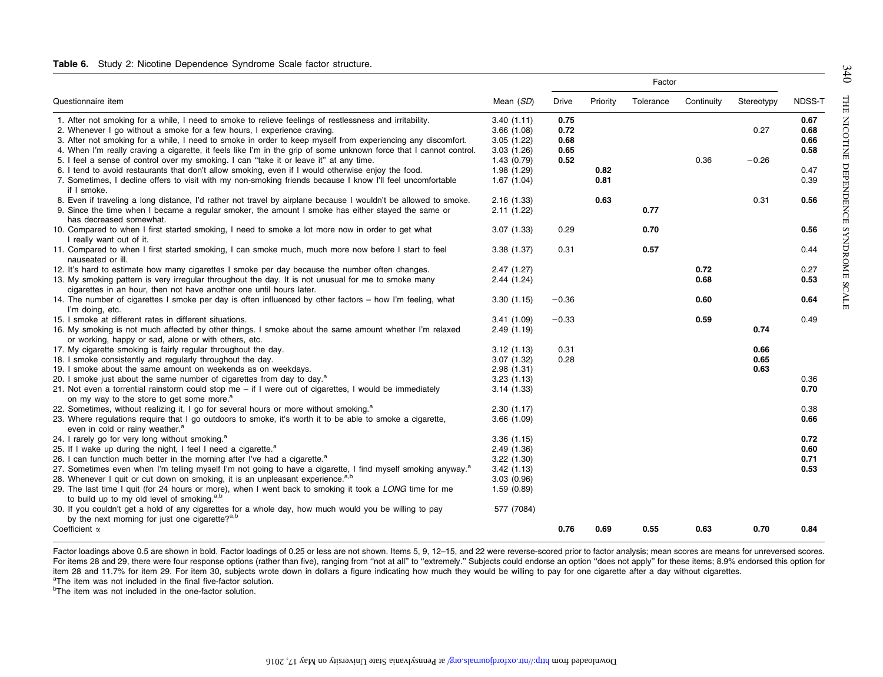#### Table 6. Study 2: Nicotine Dependence Syndrome Scale factor structure.

|                                                                                                                                                                                                                                                                                                   |                                        |                      |              | Factor    |            |            |                      |
|---------------------------------------------------------------------------------------------------------------------------------------------------------------------------------------------------------------------------------------------------------------------------------------------------|----------------------------------------|----------------------|--------------|-----------|------------|------------|----------------------|
| Questionnaire item                                                                                                                                                                                                                                                                                | Mean (SD)                              | Drive                | Priority     | Tolerance | Continuity | Stereotypy | NDSS-T               |
| 1. After not smoking for a while, I need to smoke to relieve feelings of restlessness and irritability.<br>2. Whenever I go without a smoke for a few hours, I experience craving.<br>3. After not smoking for a while, I need to smoke in order to keep myself from experiencing any discomfort. | 3.40(1.11)<br>3.66(1.08)<br>3.05(1.22) | 0.75<br>0.72<br>0.68 |              |           |            | 0.27       | 0.67<br>0.68<br>0.66 |
| 4. When I'm really craving a cigarette, it feels like I'm in the grip of some unknown force that I cannot control.<br>5. I feel a sense of control over my smoking. I can "take it or leave it" at any time.                                                                                      | 3.03(1.26)<br>1.43(0.79)               | 0.65<br>0.52         |              |           | 0.36       | $-0.26$    | 0.58                 |
| 6. I tend to avoid restaurants that don't allow smoking, even if I would otherwise enjoy the food.<br>7. Sometimes, I decline offers to visit with my non-smoking friends because I know I'll feel uncomfortable<br>if I smoke.                                                                   | 1.98 (1.29)<br>1.67(1.04)              |                      | 0.82<br>0.81 |           |            |            | 0.47<br>0.39         |
| 8. Even if traveling a long distance, I'd rather not travel by airplane because I wouldn't be allowed to smoke.<br>9. Since the time when I became a regular smoker, the amount I smoke has either stayed the same or<br>has decreased somewhat.                                                  | 2.16(1.33)<br>2.11(1.22)               |                      | 0.63         | 0.77      |            | 0.31       | 0.56                 |
| 10. Compared to when I first started smoking, I need to smoke a lot more now in order to get what<br>I really want out of it.                                                                                                                                                                     | 3.07(1.33)                             | 0.29                 |              | 0.70      |            |            | 0.56                 |
| 11. Compared to when I first started smoking, I can smoke much, much more now before I start to feel<br>nauseated or ill.                                                                                                                                                                         | 3.38(1.37)                             | 0.31                 |              | 0.57      |            |            | 0.44                 |
| 12. It's hard to estimate how many cigarettes I smoke per day because the number often changes.                                                                                                                                                                                                   | 2.47(1.27)                             |                      |              |           | 0.72       |            | 0.27                 |
| 13. My smoking pattern is very irregular throughout the day. It is not unusual for me to smoke many<br>cigarettes in an hour, then not have another one until hours later.                                                                                                                        | 2.44(1.24)                             |                      |              |           | 0.68       |            | 0.53                 |
| 14. The number of cigarettes I smoke per day is often influenced by other factors – how I'm feeling, what<br>I'm doing, etc.                                                                                                                                                                      | 3.30(1.15)                             | $-0.36$              |              |           | 0.60       |            | 0.64                 |
| 15. I smoke at different rates in different situations.                                                                                                                                                                                                                                           | 3.41(1.09)                             | $-0.33$              |              |           | 0.59       |            | 0.49                 |
| 16. My smoking is not much affected by other things. I smoke about the same amount whether I'm relaxed<br>or working, happy or sad, alone or with others, etc.                                                                                                                                    | 2.49(1.19)                             |                      |              |           |            | 0.74       |                      |
| 17. My cigarette smoking is fairly regular throughout the day.                                                                                                                                                                                                                                    | 3.12(1.13)                             | 0.31                 |              |           |            | 0.66       |                      |
| 18. I smoke consistently and regularly throughout the day.                                                                                                                                                                                                                                        | 3.07(1.32)                             | 0.28                 |              |           |            | 0.65       |                      |
| 19. I smoke about the same amount on weekends as on weekdays.                                                                                                                                                                                                                                     | 2.98(1.31)                             |                      |              |           |            | 0.63       |                      |
| 20. I smoke just about the same number of cigarettes from day to day. <sup>a</sup>                                                                                                                                                                                                                | 3.23(1.13)                             |                      |              |           |            |            | 0.36                 |
| 21. Not even a torrential rainstorm could stop me $-$ if I were out of cigarettes, I would be immediately<br>on my way to the store to get some more. <sup>a</sup>                                                                                                                                | 3.14(1.33)                             |                      |              |           |            |            | 0.70                 |
| 22. Sometimes, without realizing it, I go for several hours or more without smoking. <sup>a</sup>                                                                                                                                                                                                 | 2.30(1.17)                             |                      |              |           |            |            | 0.38                 |
| 23. Where regulations require that I go outdoors to smoke, it's worth it to be able to smoke a cigarette,<br>even in cold or rainy weather. <sup>a</sup>                                                                                                                                          | 3.66(1.09)                             |                      |              |           |            |            | 0.66                 |
| 24. I rarely go for very long without smoking. <sup>a</sup>                                                                                                                                                                                                                                       | 3.36(1.15)                             |                      |              |           |            |            | 0.72                 |
| 25. If I wake up during the night, I feel I need a cigarette. <sup>a</sup>                                                                                                                                                                                                                        | 2.49(1.36)                             |                      |              |           |            |            | 0.60                 |
| 26. I can function much better in the morning after I've had a cigarette. <sup>8</sup>                                                                                                                                                                                                            | 3.22(1.30)                             |                      |              |           |            |            | 0.71                 |
| 27. Sometimes even when I'm telling myself I'm not going to have a cigarette, I find myself smoking anyway. <sup>a</sup>                                                                                                                                                                          | 3.42(1.13)                             |                      |              |           |            |            | 0.53                 |
| 28. Whenever I quit or cut down on smoking, it is an unpleasant experience. <sup>a,b</sup>                                                                                                                                                                                                        | 3.03(0.96)                             |                      |              |           |            |            |                      |
| 29. The last time I quit (for 24 hours or more), when I went back to smoking it took a LONG time for me<br>to build up to my old level of smoking. <sup>a,b</sup>                                                                                                                                 | 1.59(0.89)                             |                      |              |           |            |            |                      |
| 30. If you couldn't get a hold of any cigarettes for a whole day, how much would you be willing to pay<br>by the next morning for just one cigarette? <sup>a,b</sup>                                                                                                                              | 577 (7084)                             |                      |              |           |            |            |                      |
| Coefficient $\alpha$                                                                                                                                                                                                                                                                              |                                        | 0.76                 | 0.69         | 0.55      | 0.63       | 0.70       | 0.84                 |

Factor loadings above 0.5 are shown in bold. Factor loadings of 0.25 or less are not shown. Items 5, 9, 12-15, and 22 were reverse-scored prior to factor analysis; mean scores are means for unreversed scores. For items 28 and 29, there were four response options (rather than five), ranging from "not at all" to "extremely." Subjects could endorse an option "does not apply" for these items; 8.9% endorsed this option for item 28 and 11.7% for item 29. For item 30, subjects wrote down in dollars <sup>a</sup> figure indicating how much they would be willing to pay for one cigarette after <sup>a</sup> day without cigarettes.

<sup>a</sup>The item was not included in the final five-factor solution.

<sup>b</sup>The item was not included in the one-factor solution.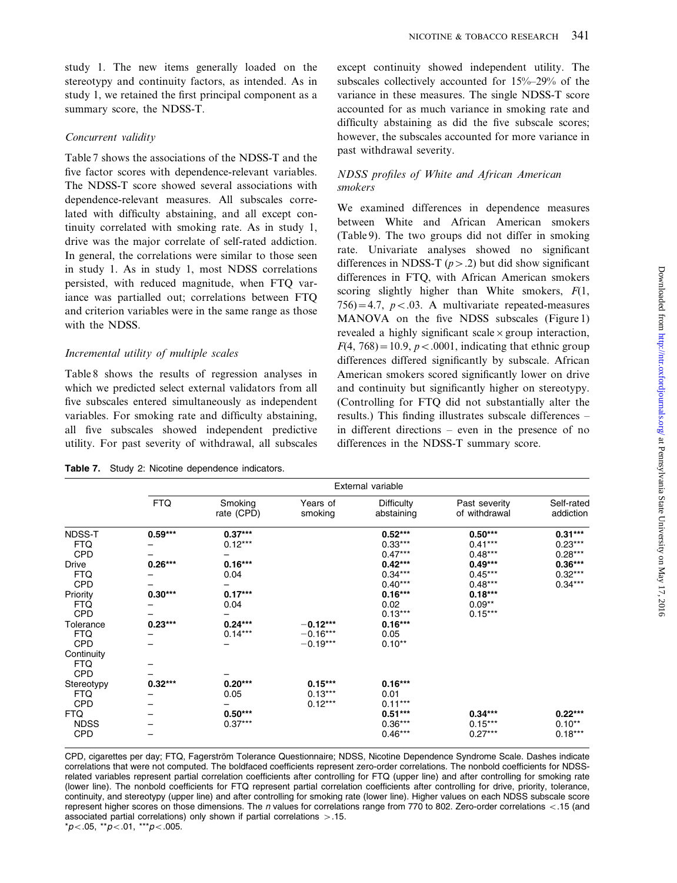study 1. The new items generally loaded on the stereotypy and continuity factors, as intended. As in study 1, we retained the first principal component as a summary score, the NDSS-T.

## Concurrent validity

Table 7 shows the associations of the NDSS-T and the five factor scores with dependence-relevant variables. The NDSS-T score showed several associations with dependence-relevant measures. All subscales correlated with difficulty abstaining, and all except continuity correlated with smoking rate. As in study 1, drive was the major correlate of self-rated addiction. In general, the correlations were similar to those seen in study 1. As in study 1, most NDSS correlations persisted, with reduced magnitude, when FTQ variance was partialled out; correlations between FTQ and criterion variables were in the same range as those with the NDSS.

## Incremental utility of multiple scales

 $*p$ <.05,  $*p$ <.01,  $**p$ <.005.

Table 8 shows the results of regression analyses in which we predicted select external validators from all five subscales entered simultaneously as independent variables. For smoking rate and difficulty abstaining, all five subscales showed independent predictive utility. For past severity of withdrawal, all subscales

FTQ Smoking

rate (CPD)

except continuity showed independent utility. The subscales collectively accounted for 15%–29% of the variance in these measures. The single NDSS-T score accounted for as much variance in smoking rate and difficulty abstaining as did the five subscale scores; however, the subscales accounted for more variance in past withdrawal severity.

# NDSS profiles of White and African American smokers

We examined differences in dependence measures between White and African American smokers (Table 9). The two groups did not differ in smoking rate. Univariate analyses showed no significant differences in NDSS-T  $(p > .2)$  but did show significant differences in FTQ, with African American smokers scoring slightly higher than White smokers,  $F(1,$  $756$ )=4.7,  $p < .03$ . A multivariate repeated-measures MANOVA on the five NDSS subscales (Figure 1) revealed a highly significant scale  $\times$  group interaction,  $F(4, 768) = 10.9$ ,  $p < .0001$ , indicating that ethnic group differences differed significantly by subscale. African American smokers scored significantly lower on drive and continuity but significantly higher on stereotypy. (Controlling for FTQ did not substantially alter the results.) This finding illustrates subscale differences – in different directions – even in the presence of no differences in the NDSS-T summary score.

> Past severity of withdrawal

Self-rated addiction

Table 7. Study 2: Nicotine dependence indicators.

| Drive       | $0.26***$ | $0.16***$                                                                      |            | $0.42***$ | $0.49***$                                                                                                                                                                                                                                                            | $0.36***$ |
|-------------|-----------|--------------------------------------------------------------------------------|------------|-----------|----------------------------------------------------------------------------------------------------------------------------------------------------------------------------------------------------------------------------------------------------------------------|-----------|
| <b>FTQ</b>  |           | 0.04                                                                           |            | $0.34***$ | $0.45***$                                                                                                                                                                                                                                                            | $0.32***$ |
| <b>CPD</b>  |           |                                                                                |            | $0.40***$ | $0.48***$                                                                                                                                                                                                                                                            | $0.34***$ |
| Priority    | $0.30***$ | $0.17***$                                                                      |            | $0.16***$ | $0.18***$                                                                                                                                                                                                                                                            |           |
| FTQ.        |           | 0.04                                                                           |            | 0.02      | $0.09**$                                                                                                                                                                                                                                                             |           |
| <b>CPD</b>  |           |                                                                                |            | $0.13***$ | $0.15***$                                                                                                                                                                                                                                                            |           |
| Tolerance   | $0.23***$ | $0.24***$                                                                      | $-0.12***$ | $0.16***$ |                                                                                                                                                                                                                                                                      |           |
| FTQ.        |           | $0.14***$                                                                      | $-0.16***$ | 0.05      |                                                                                                                                                                                                                                                                      |           |
| <b>CPD</b>  |           |                                                                                | $-0.19***$ | $0.10**$  |                                                                                                                                                                                                                                                                      |           |
| Continuity  |           |                                                                                |            |           |                                                                                                                                                                                                                                                                      |           |
| FTQ.        |           |                                                                                |            |           |                                                                                                                                                                                                                                                                      |           |
| <b>CPD</b>  |           |                                                                                |            |           |                                                                                                                                                                                                                                                                      |           |
| Stereotypy  | $0.32***$ | $0.20***$                                                                      | $0.15***$  | $0.16***$ |                                                                                                                                                                                                                                                                      |           |
| <b>FTQ</b>  |           | 0.05                                                                           | $0.13***$  | 0.01      |                                                                                                                                                                                                                                                                      |           |
| <b>CPD</b>  |           |                                                                                | $0.12***$  | $0.11***$ |                                                                                                                                                                                                                                                                      |           |
| FTQ.        |           | $0.50***$                                                                      |            | $0.51***$ | $0.34***$                                                                                                                                                                                                                                                            | $0.22***$ |
| <b>NDSS</b> |           | $0.37***$                                                                      |            | $0.36***$ | $0.15***$                                                                                                                                                                                                                                                            | $0.10***$ |
| <b>CPD</b>  |           |                                                                                |            | $0.46***$ | $0.27***$                                                                                                                                                                                                                                                            | $0.18***$ |
|             |           |                                                                                |            |           | CPD, cigarettes per day; FTQ, Fagerström Tolerance Questionnaire; NDSS, Nicotine Dependence Syndrome Scale. Dashes indicate<br>correlations that were not computed. The boldfaced coefficients represent zero-order correlations. The nonbold coefficients for NDSS- |           |
|             |           |                                                                                |            |           | related variables represent partial correlation coefficients after controlling for FTQ (upper line) and after controlling for smoking rate                                                                                                                           |           |
|             |           |                                                                                |            |           | (lower line). The nonbold coefficients for FTQ represent partial correlation coefficients after controlling for drive, priority, tolerance,                                                                                                                          |           |
|             |           |                                                                                |            |           | continuity, and stereotypy (upper line) and after controlling for smoking rate (lower line). Higher values on each NDSS subscale score                                                                                                                               |           |
|             |           |                                                                                |            |           | represent higher scores on those dimensions. The n values for correlations range from 770 to 802. Zero-order correlations $<$ 15 (and                                                                                                                                |           |
|             |           | associated partial correlations) only shown if partial correlations $> 0.15$ . |            |           |                                                                                                                                                                                                                                                                      |           |
|             |           |                                                                                |            |           |                                                                                                                                                                                                                                                                      |           |

Years of smoking

NDSS-T 0.59\*\*\* 0.37\*\*\* 0.52\*\*\* 0.50\*\*\* 0.31\*\*\* FTQ – 0.12\*\*\* 0.33\*\*\* 0.41\*\*\* 0.23\*\*\* CPD – – 0.47\*\*\* 0.48\*\*\* 0.28\*\*\*

External variable

**Difficulty** abstaining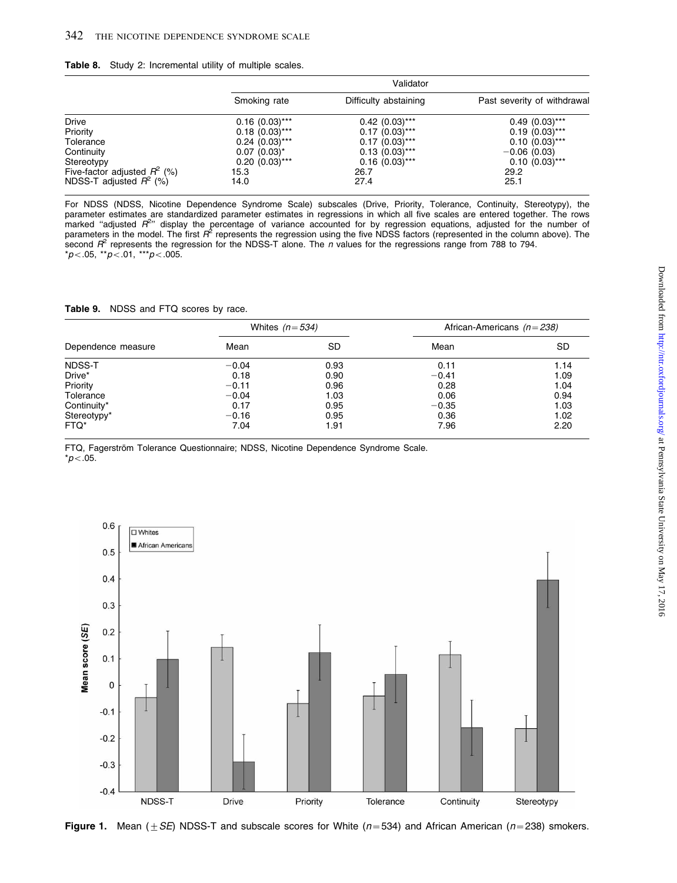| <b>Table 8.</b> Study 2: Incremental utility of multiple scales. |  |
|------------------------------------------------------------------|--|
|------------------------------------------------------------------|--|

|                                | Validator           |                       |                             |  |  |
|--------------------------------|---------------------|-----------------------|-----------------------------|--|--|
|                                | Smoking rate        | Difficulty abstaining | Past severity of withdrawal |  |  |
| Drive                          | $0.16$ $(0.03)$ *** | $0.42$ (0.03)***      | $0.49(0.03)$ ***            |  |  |
| Priority                       | $0.18(0.03)***$     | $0.17(0.03)***$       | $0.19(0.03)***$             |  |  |
| Tolerance                      | $0.24$ $(0.03)***$  | $0.17(0.03)***$       | $0.10(0.03)$ ***            |  |  |
| Continuity                     | $0.07$ $(0.03)^*$   | $0.13(0.03)$ ***      | $-0.06(0.03)$               |  |  |
| Stereotypy                     | $0.20(0.03)***$     | $0.16(0.03)$ ***      | $0.10(0.03)$ ***            |  |  |
| Five-factor adjusted $R^2$ (%) | 15.3                | 26.7                  | 29.2                        |  |  |
| NDSS-T adjusted $R^2$ (%)      | 14.0                | 27.4                  | 25.1                        |  |  |

For NDSS (NDSS, Nicotine Dependence Syndrome Scale) subscales (Drive, Priority, Tolerance, Continuity, Stereotypy), the parameter estimates are standardized parameter estimates in regressions in which all five scales are entered together. The rows marked "adjusted R<sup>2</sup>" display the percentage of variance accounted for by regression equations, adjusted for the number of<br>parameters in the model. The first R<sup>2</sup> represents the regression using the five NDSS factors (rep second  $R^2$  represents the regression for the NDSS-T alone. The n values for the regressions range from 788 to 794.  $*p$  < .05,  $*p$  < .01,  $**p$  < .005.

#### Table 9. NDSS and FTQ scores by race.

|                    | Whites $(n=534)$ |      | African-Americans $(n=238)$ |      |
|--------------------|------------------|------|-----------------------------|------|
| Dependence measure | Mean             | SD   | Mean                        | SD   |
| NDSS-T             | $-0.04$          | 0.93 | 0.11                        | 1.14 |
| Drive*             | 0.18             | 0.90 | $-0.41$                     | 1.09 |
| Priority           | $-0.11$          | 0.96 | 0.28                        | 1.04 |
| Tolerance          | $-0.04$          | 1.03 | 0.06                        | 0.94 |
| Continuity*        | 0.17             | 0.95 | $-0.35$                     | 1.03 |
| Stereotypy*        | $-0.16$          | 0.95 | 0.36                        | 1.02 |
| FTQ*               | 7.04             | 1.91 | 7.96                        | 2.20 |

FTQ, Fagerström Tolerance Questionnaire; NDSS, Nicotine Dependence Syndrome Scale.  $*p$  < .05.



Figure 1. Mean ( $\pm$  SE) NDSS-T and subscale scores for White (n=534) and African American (n=238) smokers.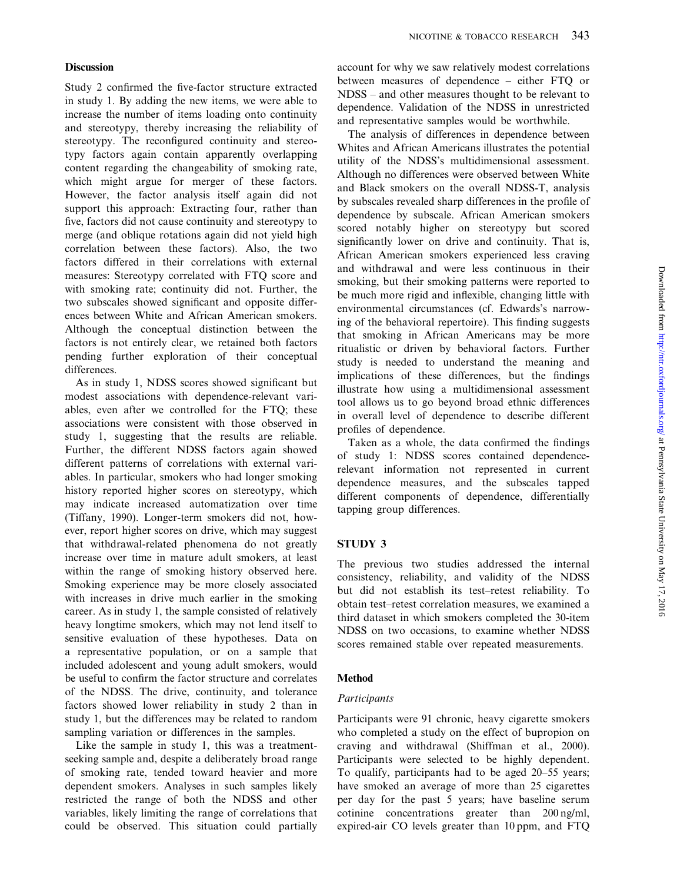### **Discussion**

Study 2 confirmed the five-factor structure extracted in study 1. By adding the new items, we were able to increase the number of items loading onto continuity and stereotypy, thereby increasing the reliability of stereotypy. The reconfigured continuity and stereotypy factors again contain apparently overlapping content regarding the changeability of smoking rate, which might argue for merger of these factors. However, the factor analysis itself again did not support this approach: Extracting four, rather than five, factors did not cause continuity and stereotypy to merge (and oblique rotations again did not yield high correlation between these factors). Also, the two factors differed in their correlations with external measures: Stereotypy correlated with FTQ score and with smoking rate; continuity did not. Further, the two subscales showed significant and opposite differences between White and African American smokers. Although the conceptual distinction between the factors is not entirely clear, we retained both factors pending further exploration of their conceptual differences.

As in study 1, NDSS scores showed significant but modest associations with dependence-relevant variables, even after we controlled for the FTQ; these associations were consistent with those observed in study 1, suggesting that the results are reliable. Further, the different NDSS factors again showed different patterns of correlations with external variables. In particular, smokers who had longer smoking history reported higher scores on stereotypy, which may indicate increased automatization over time (Tiffany, 1990). Longer-term smokers did not, however, report higher scores on drive, which may suggest that withdrawal-related phenomena do not greatly increase over time in mature adult smokers, at least within the range of smoking history observed here. Smoking experience may be more closely associated with increases in drive much earlier in the smoking career. As in study 1, the sample consisted of relatively heavy longtime smokers, which may not lend itself to sensitive evaluation of these hypotheses. Data on a representative population, or on a sample that included adolescent and young adult smokers, would be useful to confirm the factor structure and correlates of the NDSS. The drive, continuity, and tolerance factors showed lower reliability in study 2 than in study 1, but the differences may be related to random sampling variation or differences in the samples.

Like the sample in study 1, this was a treatmentseeking sample and, despite a deliberately broad range of smoking rate, tended toward heavier and more dependent smokers. Analyses in such samples likely restricted the range of both the NDSS and other variables, likely limiting the range of correlations that could be observed. This situation could partially

account for why we saw relatively modest correlations between measures of dependence – either FTQ or NDSS – and other measures thought to be relevant to dependence. Validation of the NDSS in unrestricted and representative samples would be worthwhile.

The analysis of differences in dependence between Whites and African Americans illustrates the potential utility of the NDSS's multidimensional assessment. Although no differences were observed between White and Black smokers on the overall NDSS-T, analysis by subscales revealed sharp differences in the profile of dependence by subscale. African American smokers scored notably higher on stereotypy but scored significantly lower on drive and continuity. That is, African American smokers experienced less craving and withdrawal and were less continuous in their smoking, but their smoking patterns were reported to be much more rigid and inflexible, changing little with environmental circumstances (cf. Edwards's narrowing of the behavioral repertoire). This finding suggests that smoking in African Americans may be more ritualistic or driven by behavioral factors. Further study is needed to understand the meaning and implications of these differences, but the findings illustrate how using a multidimensional assessment tool allows us to go beyond broad ethnic differences in overall level of dependence to describe different profiles of dependence.

Taken as a whole, the data confirmed the findings of study 1: NDSS scores contained dependencerelevant information not represented in current dependence measures, and the subscales tapped different components of dependence, differentially tapping group differences.

# STUDY 3

The previous two studies addressed the internal consistency, reliability, and validity of the NDSS but did not establish its test–retest reliability. To obtain test–retest correlation measures, we examined a third dataset in which smokers completed the 30-item NDSS on two occasions, to examine whether NDSS scores remained stable over repeated measurements.

#### Method

#### **Participants**

Participants were 91 chronic, heavy cigarette smokers who completed a study on the effect of bupropion on craving and withdrawal (Shiffman et al., 2000). Participants were selected to be highly dependent. To qualify, participants had to be aged 20–55 years; have smoked an average of more than 25 cigarettes per day for the past 5 years; have baseline serum cotinine concentrations greater than 200 ng/ml, expired-air CO levels greater than 10 ppm, and FTQ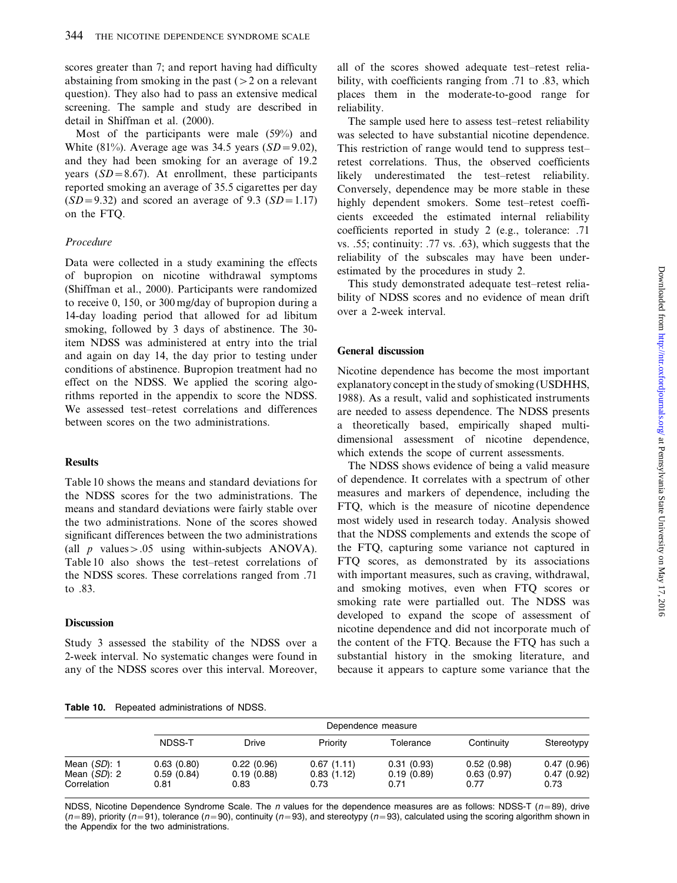scores greater than 7; and report having had difficulty abstaining from smoking in the past  $(>2$  on a relevant question). They also had to pass an extensive medical screening. The sample and study are described in detail in Shiffman et al. (2000).

Most of the participants were male (59%) and White (81%). Average age was 34.5 years ( $SD=9.02$ ), and they had been smoking for an average of 19.2 years  $(SD=8.67)$ . At enrollment, these participants reported smoking an average of 35.5 cigarettes per day  $(SD=9.32)$  and scored an average of 9.3  $(SD=1.17)$ on the FTQ.

### Procedure

Data were collected in a study examining the effects of bupropion on nicotine withdrawal symptoms (Shiffman et al., 2000). Participants were randomized to receive 0, 150, or 300 mg/day of bupropion during a 14-day loading period that allowed for ad libitum smoking, followed by 3 days of abstinence. The 30 item NDSS was administered at entry into the trial and again on day 14, the day prior to testing under conditions of abstinence. Bupropion treatment had no effect on the NDSS. We applied the scoring algorithms reported in the appendix to score the NDSS. We assessed test–retest correlations and differences between scores on the two administrations.

## **Results**

Table 10 shows the means and standard deviations for the NDSS scores for the two administrations. The means and standard deviations were fairly stable over the two administrations. None of the scores showed significant differences between the two administrations (all  $p$  values > .05 using within-subjects ANOVA). Table 10 also shows the test–retest correlations of the NDSS scores. These correlations ranged from .71 to .83.

#### **Discussion**

Study 3 assessed the stability of the NDSS over a 2-week interval. No systematic changes were found in any of the NDSS scores over this interval. Moreover, all of the scores showed adequate test–retest reliability, with coefficients ranging from .71 to .83, which places them in the moderate-to-good range for reliability.

The sample used here to assess test–retest reliability was selected to have substantial nicotine dependence. This restriction of range would tend to suppress test– retest correlations. Thus, the observed coefficients likely underestimated the test–retest reliability. Conversely, dependence may be more stable in these highly dependent smokers. Some test–retest coefficients exceeded the estimated internal reliability coefficients reported in study 2 (e.g., tolerance: .71 vs. .55; continuity: .77 vs. .63), which suggests that the reliability of the subscales may have been underestimated by the procedures in study 2.

This study demonstrated adequate test–retest reliability of NDSS scores and no evidence of mean drift over a 2-week interval.

#### General discussion

Nicotine dependence has become the most important explanatory concept in the study of smoking (USDHHS, 1988). As a result, valid and sophisticated instruments are needed to assess dependence. The NDSS presents a theoretically based, empirically shaped multidimensional assessment of nicotine dependence, which extends the scope of current assessments.

The NDSS shows evidence of being a valid measure of dependence. It correlates with a spectrum of other measures and markers of dependence, including the FTQ, which is the measure of nicotine dependence most widely used in research today. Analysis showed that the NDSS complements and extends the scope of the FTQ, capturing some variance not captured in FTQ scores, as demonstrated by its associations with important measures, such as craving, withdrawal, and smoking motives, even when FTQ scores or smoking rate were partialled out. The NDSS was developed to expand the scope of assessment of nicotine dependence and did not incorporate much of the content of the FTQ. Because the FTQ has such a substantial history in the smoking literature, and because it appears to capture some variance that the

Table 10. Repeated administrations of NDSS.

|                                                   | Dependence measure               |                                  |                                  |                                  |                                  |                                  |  |  |  |
|---------------------------------------------------|----------------------------------|----------------------------------|----------------------------------|----------------------------------|----------------------------------|----------------------------------|--|--|--|
|                                                   | NDSS-T                           | <b>Drive</b>                     | Priority                         | Tolerance                        | Continuity                       | Stereotypy                       |  |  |  |
| Mean $(SD)$ : 1<br>Mean $(SD)$ : 2<br>Correlation | 0.63(0.80)<br>0.59(0.84)<br>0.81 | 0.22(0.96)<br>0.19(0.88)<br>0.83 | 0.67(1.11)<br>0.83(1.12)<br>0.73 | 0.31(0.93)<br>0.19(0.89)<br>0.71 | 0.52(0.98)<br>0.63(0.97)<br>0.77 | 0.47(0.96)<br>0.47(0.92)<br>0.73 |  |  |  |

NDSS, Nicotine Dependence Syndrome Scale. The n values for the dependence measures are as follows: NDSS-T ( $n=89$ ), drive  $(n=89)$ , priority (n=91), tolerance (n=90), continuity (n=93), and stereotypy (n=93), calculated using the scoring algorithm shown in the Appendix for the two administrations.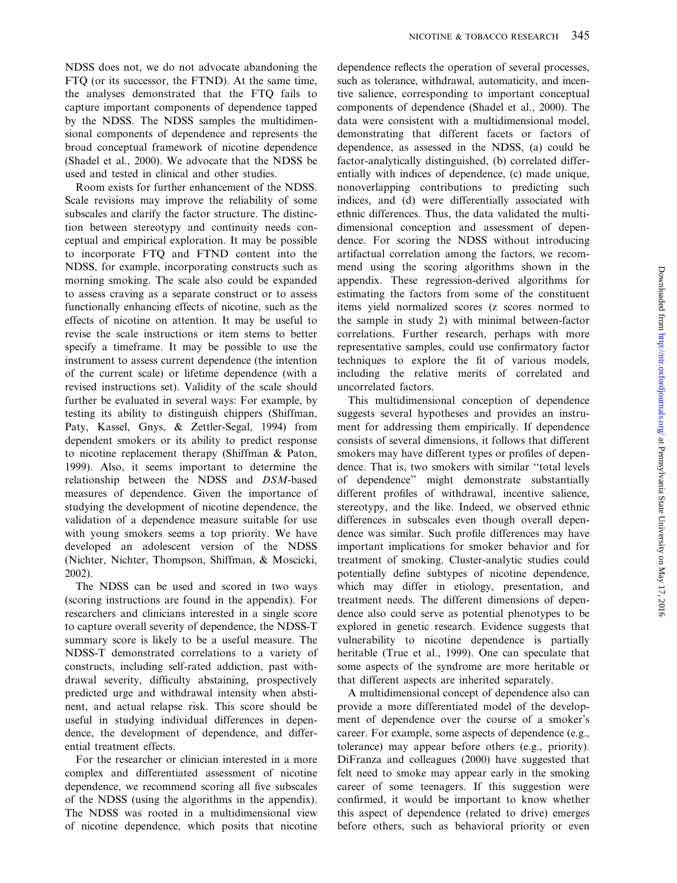NDSS does not, we do not advocate abandoning the FTQ (or its successor, the FTND). At the same time, the analyses demonstrated that the FTQ fails to capture important components of dependence tapped by the NDSS. The NDSS samples the multidimensional components of dependence and represents the broad conceptual framework of nicotine dependence (Shadel et al., 2000). We advocate that the NDSS be used and tested in clinical and other studies.

Room exists for further enhancement of the NDSS. Scale revisions may improve the reliability of some subscales and clarify the factor structure. The distinction between stereotypy and continuity needs conceptual and empirical exploration. It may be possible to incorporate FTQ and FTND content into the NDSS, for example, incorporating constructs such as morning smoking. The scale also could be expanded to assess craving as a separate construct or to assess functionally enhancing effects of nicotine, such as the effects of nicotine on attention. It may be useful to revise the scale instructions or item stems to better specify a timeframe. It may be possible to use the instrument to assess current dependence (the intention of the current scale) or lifetime dependence (with a revised instructions set). Validity of the scale should further be evaluated in several ways: For example, by testing its ability to distinguish chippers (Shiffman, Paty, Kassel, Gnys, & Zettler-Segal, 1994) from dependent smokers or its ability to predict response to nicotine replacement therapy (Shiffman & Paton, 1999). Also, it seems important to determine the relationship between the NDSS and DSM-based measures of dependence. Given the importance of studying the development of nicotine dependence, the validation of a dependence measure suitable for use with young smokers seems a top priority. We have developed an adolescent version of the NDSS (Nichter, Nichter, Thompson, Shiffman, & Moscicki, 2002).

The NDSS can be used and scored in two ways (scoring instructions are found in the appendix). For researchers and clinicians interested in a single score to capture overall severity of dependence, the NDSS-T summary score is likely to be a useful measure. The NDSS-T demonstrated correlations to a variety of constructs, including self-rated addiction, past withdrawal severity, difficulty abstaining, prospectively predicted urge and withdrawal intensity when abstinent, and actual relapse risk. This score should be useful in studying individual differences in dependence, the development of dependence, and differential treatment effects.

For the researcher or clinician interested in a more complex and differentiated assessment of nicotine dependence, we recommend scoring all five subscales of the NDSS (using the algorithms in the appendix). The NDSS was rooted in a multidimensional view of nicotine dependence, which posits that nicotine

dependence reflects the operation of several processes, such as tolerance, withdrawal, automaticity, and incentive salience, corresponding to important conceptual components of dependence (Shadel et al., 2000). The data were consistent with a multidimensional model, demonstrating that different facets or factors of dependence, as assessed in the NDSS, (a) could be factor-analytically distinguished, (b) correlated differentially with indices of dependence, (c) made unique, nonoverlapping contributions to predicting such indices, and (d) were differentially associated with ethnic differences. Thus, the data validated the multidimensional conception and assessment of dependence. For scoring the NDSS without introducing artifactual correlation among the factors, we recommend using the scoring algorithms shown in the appendix. These regression-derived algorithms for estimating the factors from some of the constituent items yield normalized scores (z scores normed to the sample in study 2) with minimal between-factor correlations. Further research, perhaps with more representative samples, could use confirmatory factor techniques to explore the fit of various models, including the relative merits of correlated and uncorrelated factors.

This multidimensional conception of dependence suggests several hypotheses and provides an instrument for addressing them empirically. If dependence consists of several dimensions, it follows that different smokers may have different types or profiles of dependence. That is, two smokers with similar ''total levels of dependence'' might demonstrate substantially different profiles of withdrawal, incentive salience, stereotypy, and the like. Indeed, we observed ethnic differences in subscales even though overall dependence was similar. Such profile differences may have important implications for smoker behavior and for treatment of smoking. Cluster-analytic studies could potentially define subtypes of nicotine dependence, which may differ in etiology, presentation, and treatment needs. The different dimensions of dependence also could serve as potential phenotypes to be explored in genetic research. Evidence suggests that vulnerability to nicotine dependence is partially heritable (True et al., 1999). One can speculate that some aspects of the syndrome are more heritable or that different aspects are inherited separately.

A multidimensional concept of dependence also can provide a more differentiated model of the development of dependence over the course of a smoker's career. For example, some aspects of dependence (e.g., tolerance) may appear before others (e.g., priority). DiFranza and colleagues (2000) have suggested that felt need to smoke may appear early in the smoking career of some teenagers. If this suggestion were confirmed, it would be important to know whether this aspect of dependence (related to drive) emerges before others, such as behavioral priority or even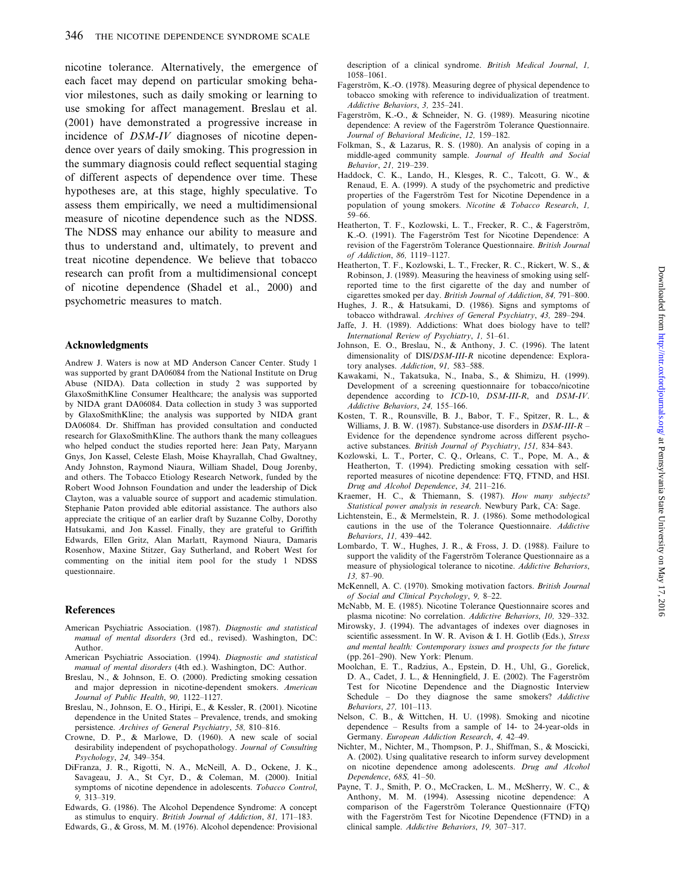nicotine tolerance. Alternatively, the emergence of each facet may depend on particular smoking behavior milestones, such as daily smoking or learning to use smoking for affect management. Breslau et al. (2001) have demonstrated a progressive increase in incidence of DSM-IV diagnoses of nicotine dependence over years of daily smoking. This progression in the summary diagnosis could reflect sequential staging of different aspects of dependence over time. These hypotheses are, at this stage, highly speculative. To assess them empirically, we need a multidimensional measure of nicotine dependence such as the NDSS. The NDSS may enhance our ability to measure and thus to understand and, ultimately, to prevent and treat nicotine dependence. We believe that tobacco research can profit from a multidimensional concept of nicotine dependence (Shadel et al., 2000) and psychometric measures to match.

#### Acknowledgments

Andrew J. Waters is now at MD Anderson Cancer Center. Study 1 was supported by grant DA06084 from the National Institute on Drug Abuse (NIDA). Data collection in study 2 was supported by GlaxoSmithKline Consumer Healthcare; the analysis was supported by NIDA grant DA06084. Data collection in study 3 was supported by GlaxoSmithKline; the analysis was supported by NIDA grant DA06084. Dr. Shiffman has provided consultation and conducted research for GlaxoSmithKline. The authors thank the many colleagues who helped conduct the studies reported here: Jean Paty, Maryann Gnys, Jon Kassel, Celeste Elash, Moise Khayrallah, Chad Gwaltney, Andy Johnston, Raymond Niaura, William Shadel, Doug Jorenby, and others. The Tobacco Etiology Research Network, funded by the Robert Wood Johnson Foundation and under the leadership of Dick Clayton, was a valuable source of support and academic stimulation. Stephanie Paton provided able editorial assistance. The authors also appreciate the critique of an earlier draft by Suzanne Colby, Dorothy Hatsukami, and Jon Kassel. Finally, they are grateful to Griffith Edwards, Ellen Gritz, Alan Marlatt, Raymond Niaura, Damaris Rosenhow, Maxine Stitzer, Gay Sutherland, and Robert West for commenting on the initial item pool for the study 1 NDSS questionnaire.

#### References

- American Psychiatric Association. (1987). Diagnostic and statistical manual of mental disorders (3rd ed., revised). Washington, DC: Author.
- American Psychiatric Association. (1994). Diagnostic and statistical manual of mental disorders (4th ed.). Washington, DC: Author.
- Breslau, N., & Johnson, E. O. (2000). Predicting smoking cessation and major depression in nicotine-dependent smokers. American Journal of Public Health, 90, 1122–1127.
- Breslau, N., Johnson, E. O., Hiripi, E., & Kessler, R. (2001). Nicotine dependence in the United States – Prevalence, trends, and smoking persistence. Archives of General Psychiatry, 58, 810–816.
- Crowne, D. P., & Marlowe, D. (1960). A new scale of social desirability independent of psychopathology. Journal of Consulting Psychology, 24, 349–354.
- DiFranza, J. R., Rigotti, N. A., McNeill, A. D., Ockene, J. K., Savageau, J. A., St Cyr, D., & Coleman, M. (2000). Initial symptoms of nicotine dependence in adolescents. Tobacco Control, 9, 313–319.
- Edwards, G. (1986). The Alcohol Dependence Syndrome: A concept as stimulus to enquiry. British Journal of Addiction, 81, 171–183. Edwards, G., & Gross, M. M. (1976). Alcohol dependence: Provisional

description of a clinical syndrome. British Medical Journal, 1, 1058–1061.

- Fagerström, K.-O. (1978). Measuring degree of physical dependence to tobacco smoking with reference to individualization of treatment. Addictive Behaviors, 3, 235–241.
- Fagerström, K.-O., & Schneider, N. G. (1989). Measuring nicotine dependence: A review of the Fagerström Tolerance Questionnaire. Journal of Behavioral Medicine, 12, 159–182.
- Folkman, S., & Lazarus, R. S. (1980). An analysis of coping in a middle-aged community sample. Journal of Health and Social Behavior, 21, 219–239.
- Haddock, C. K., Lando, H., Klesges, R. C., Talcott, G. W., & Renaud, E. A. (1999). A study of the psychometric and predictive properties of the Fagerström Test for Nicotine Dependence in a population of young smokers. Nicotine & Tobacco Research, 1, 59–66.
- Heatherton, T. F., Kozlowski, L. T., Frecker, R. C., & Fagerström, K.-O. (1991). The Fagerström Test for Nicotine Dependence: A revision of the Fagerström Tolerance Questionnaire. British Journal of Addiction, 86, 1119–1127.
- Heatherton, T. F., Kozlowski, L. T., Frecker, R. C., Rickert, W. S., & Robinson, J. (1989). Measuring the heaviness of smoking using selfreported time to the first cigarette of the day and number of cigarettes smoked per day. British Journal of Addiction, 84, 791–800.
- Hughes, J. R., & Hatsukami, D. (1986). Signs and symptoms of tobacco withdrawal. Archives of General Psychiatry, 43, 289–294.
- Jaffe, J. H. (1989). Addictions: What does biology have to tell? International Review of Psychiatry, 1, 51–61.
- Johnson, E. O., Breslau, N., & Anthony, J. C. (1996). The latent dimensionality of DIS/DSM-III-R nicotine dependence: Exploratory analyses. Addiction, 91, 583–588.
- Kawakami, N., Takatsuka, N., Inaba, S., & Shimizu, H. (1999). Development of a screening questionnaire for tobacco/nicotine dependence according to ICD-10, DSM-III-R, and DSM-IV. Addictive Behaviors, 24, 155–166.
- Kosten, T. R., Rounsville, B. J., Babor, T. F., Spitzer, R. L., & Williams, J. B. W. (1987). Substance-use disorders in DSM-III-R -Evidence for the dependence syndrome across different psychoactive substances. British Journal of Psychiatry, 151, 834–843.
- Kozlowski, L. T., Porter, C. Q., Orleans, C. T., Pope, M. A., & Heatherton, T. (1994). Predicting smoking cessation with selfreported measures of nicotine dependence: FTQ, FTND, and HSI. Drug and Alcohol Dependence, 34, 211–216.
- Kraemer, H. C., & Thiemann, S. (1987). How many subjects? Statistical power analysis in research. Newbury Park, CA: Sage.
- Lichtenstein, E., & Mermelstein, R. J. (1986). Some methodological cautions in the use of the Tolerance Questionnaire. Addictive Behaviors, 11, 439–442.
- Lombardo, T. W., Hughes, J. R., & Fross, J. D. (1988). Failure to support the validity of the Fagerström Tolerance Questionnaire as a measure of physiological tolerance to nicotine. Addictive Behaviors, 13, 87–90.
- McKennell, A. C. (1970). Smoking motivation factors. British Journal of Social and Clinical Psychology, 9, 8–22.
- McNabb, M. E. (1985). Nicotine Tolerance Questionnaire scores and plasma nicotine: No correlation. Addictive Behaviors, 10, 329–332.
- Mirowsky, J. (1994). The advantages of indexes over diagnoses in scientific assessment. In W. R. Avison & I. H. Gotlib (Eds.), Stress and mental health: Contemporary issues and prospects for the future (pp. 261–290). New York: Plenum.
- Moolchan, E. T., Radzius, A., Epstein, D. H., Uhl, G., Gorelick, D. A., Cadet, J. L., & Henningfield, J. E. (2002). The Fagerström Test for Nicotine Dependence and the Diagnostic Interview Schedule - Do they diagnose the same smokers? Addictive Behaviors, 27, 101–113.
- Nelson, C. B., & Wittchen, H. U. (1998). Smoking and nicotine dependence – Results from a sample of 14- to 24-year-olds in Germany. European Addiction Research, 4, 42–49.
- Nichter, M., Nichter, M., Thompson, P. J., Shiffman, S., & Moscicki, A. (2002). Using qualitative research to inform survey development on nicotine dependence among adolescents. Drug and Alcohol Dependence, 68S, 41–50.
- Payne, T. J., Smith, P. O., McCracken, L. M., McSherry, W. C., & Anthony, M. M. (1994). Assessing nicotine dependence: A comparison of the Fagerström Tolerance Ouestionnaire (FTO) with the Fagerström Test for Nicotine Dependence (FTND) in a clinical sample. Addictive Behaviors, 19, 307–317.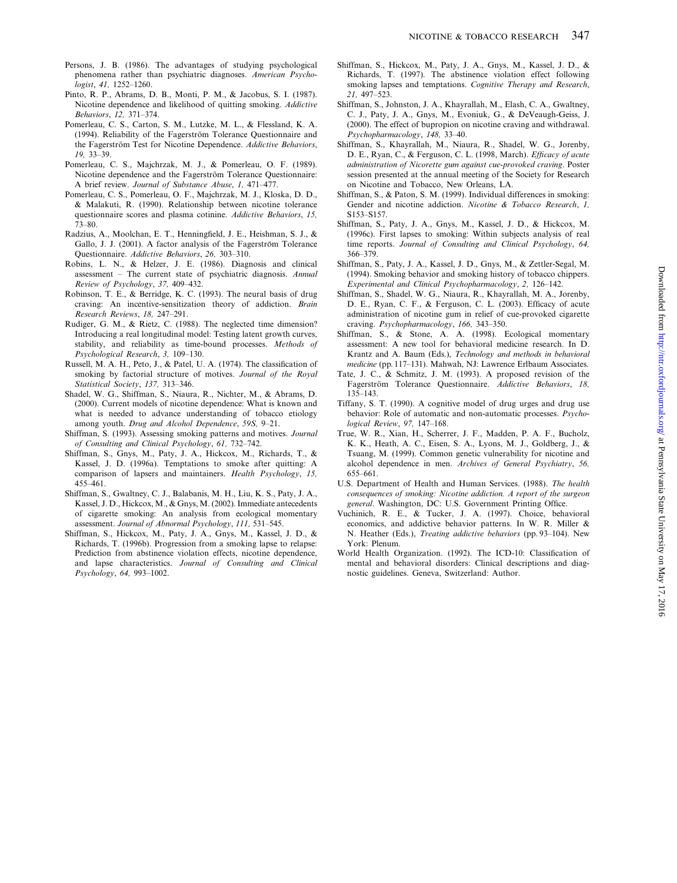- Persons, J. B. (1986). The advantages of studying psychological phenomena rather than psychiatric diagnoses. American Psychologist, 41, 1252–1260.
- Pinto, R. P., Abrams, D. B., Monti, P. M., & Jacobus, S. I. (1987). Nicotine dependence and likelihood of quitting smoking. Addictive Behaviors, 12, 371–374.
- Pomerleau, C. S., Carton, S. M., Lutzke, M. L., & Flessland, K. A. (1994). Reliability of the Fagerström Tolerance Questionnaire and the Fagerström Test for Nicotine Dependence. Addictive Behaviors, 19, 33–39.
- Pomerleau, C. S., Majchrzak, M. J., & Pomerleau, O. F. (1989). Nicotine dependence and the Fagerström Tolerance Questionnaire: A brief review. Journal of Substance Abuse, 1, 471–477.
- Pomerleau, C. S., Pomerleau, O. F., Majchrzak, M. J., Kloska, D. D., & Malakuti, R. (1990). Relationship between nicotine tolerance questionnaire scores and plasma cotinine. Addictive Behaviors, 15, 73–80.
- Radzius, A., Moolchan, E. T., Henningfield, J. E., Heishman, S. J., & Gallo, J. J. (2001). A factor analysis of the Fagerström Tolerance Questionnaire. Addictive Behaviors, 26, 303-310.
- Robins, L. N., & Helzer, J. E. (1986). Diagnosis and clinical assessment – The current state of psychiatric diagnosis. Annual Review of Psychology, 37, 409–432.
- Robinson, T. E., & Berridge, K. C. (1993). The neural basis of drug craving: An incentive-sensitization theory of addiction. Brain Research Reviews, 18, 247–291.
- Rudiger, G. M., & Rietz, C. (1988). The neglected time dimension? Introducing a real longitudinal model: Testing latent growth curves, stability, and reliability as time-bound processes. Methods of Psychological Research, 3, 109–130.
- Russell, M. A. H., Peto, J., & Patel, U. A. (1974). The classification of smoking by factorial structure of motives. Journal of the Royal Statistical Society, 137, 313–346.
- Shadel, W. G., Shiffman, S., Niaura, R., Nichter, M., & Abrams, D. (2000). Current models of nicotine dependence: What is known and what is needed to advance understanding of tobacco etiology among youth. Drug and Alcohol Dependence, 59S, 9–21.
- Shiffman, S. (1993). Assessing smoking patterns and motives. Journal of Consulting and Clinical Psychology, 61, 732–742.
- Shiffman, S., Gnys, M., Paty, J. A., Hickcox, M., Richards, T., & Kassel, J. D. (1996a). Temptations to smoke after quitting: A comparison of lapsers and maintainers. Health Psychology, 15, 455–461.
- Shiffman, S., Gwaltney, C. J., Balabanis, M. H., Liu, K. S., Paty, J. A., Kassel, J. D., Hickcox, M., & Gnys, M. (2002). Immediate antecedents of cigarette smoking: An analysis from ecological momentary assessment. Journal of Abnormal Psychology, 111, 531–545.
- Shiffman, S., Hickcox, M., Paty, J. A., Gnys, M., Kassel, J. D., & Richards, T. (1996b). Progression from a smoking lapse to relapse: Prediction from abstinence violation effects, nicotine dependence, and lapse characteristics. Journal of Consulting and Clinical Psychology, 64, 993–1002.
- Shiffman, S., Hickcox, M., Paty, J. A., Gnys, M., Kassel, J. D., & Richards, T. (1997). The abstinence violation effect following smoking lapses and temptations. Cognitive Therapy and Research, 21, 497–523.
- Shiffman, S., Johnston, J. A., Khayrallah, M., Elash, C. A., Gwaltney, C. J., Paty, J. A., Gnys, M., Evoniuk, G., & DeVeaugh-Geiss, J. (2000). The effect of bupropion on nicotine craving and withdrawal. Psychopharmacology, 148, 33–40.
- Shiffman, S., Khayrallah, M., Niaura, R., Shadel, W. G., Jorenby, D. E., Ryan, C., & Ferguson, C. L. (1998, March). Efficacy of acute administration of Nicorette gum against cue-provoked craving. Poster session presented at the annual meeting of the Society for Research on Nicotine and Tobacco, New Orleans, LA.
- Shiffman, S., & Paton, S. M. (1999). Individual differences in smoking: Gender and nicotine addiction. Nicotine & Tobacco Research, 1, S153–S157.
- Shiffman, S., Paty, J. A., Gnys, M., Kassel, J. D., & Hickcox, M. (1996c). First lapses to smoking: Within subjects analysis of real time reports. Journal of Consulting and Clinical Psychology, 64, 366–379.
- Shiffman, S., Paty, J. A., Kassel, J. D., Gnys, M., & Zettler-Segal, M. (1994). Smoking behavior and smoking history of tobacco chippers. Experimental and Clinical Psychopharmacology, 2, 126–142.
- Shiffman, S., Shadel, W. G., Niaura, R., Khayrallah, M. A., Jorenby, D. E., Ryan, C. F., & Ferguson, C. L. (2003). Efficacy of acute administration of nicotine gum in relief of cue-provoked cigarette craving. Psychopharmacology, 166, 343–350.
- Shiffman, S., & Stone, A. A. (1998). Ecological momentary assessment: A new tool for behavioral medicine research. In D. Krantz and A. Baum (Eds.), Technology and methods in behavioral medicine (pp. 117–131). Mahwah, NJ: Lawrence Erlbaum Associates.
- Tate, J. C., & Schmitz, J. M. (1993). A proposed revision of the Fagerström Tolerance Questionnaire. Addictive Behaviors, 18, 135–143.
- Tiffany, S. T. (1990). A cognitive model of drug urges and drug use behavior: Role of automatic and non-automatic processes. Psychological Review, 97, 147–168.
- True, W. R., Xian, H., Scherrer, J. F., Madden, P. A. F., Bucholz, K. K., Heath, A. C., Eisen, S. A., Lyons, M. J., Goldberg, J., & Tsuang, M. (1999). Common genetic vulnerability for nicotine and alcohol dependence in men. Archives of General Psychiatry, 56, 655–661.
- U.S. Department of Health and Human Services. (1988). The health consequences of smoking: Nicotine addiction. A report of the surgeon general. Washington, DC: U.S. Government Printing Office.
- Vuchinich, R. E., & Tucker, J. A. (1997). Choice, behavioral economics, and addictive behavior patterns. In W. R. Miller & N. Heather (Eds.), Treating addictive behaviors (pp. 93–104). New York: Plenum.
- World Health Organization. (1992). The ICD-10: Classification of mental and behavioral disorders: Clinical descriptions and diagnostic guidelines. Geneva, Switzerland: Author.